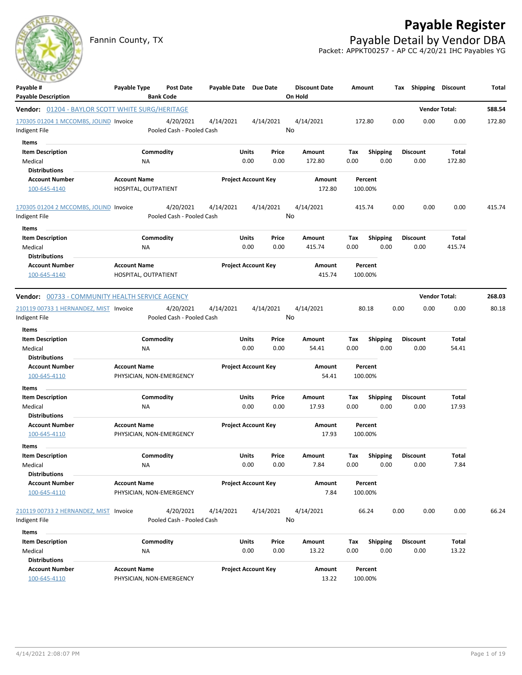## **Payable Register**

Fannin County, TX **Payable Detail by Vendor DBA** Packet: APPKT00257 - AP CC 4/20/21 IHC Payables YG

**Discount Date Amount Tax Shipping Discount Total**



| <b>Payable Description</b>                              | <b>Bank Code</b>          |                            |               | On Hold         |                                        |                         |               |        |
|---------------------------------------------------------|---------------------------|----------------------------|---------------|-----------------|----------------------------------------|-------------------------|---------------|--------|
| <b>Vendor:</b> 01204 - BAYLOR SCOTT WHITE SURG/HERITAGE |                           |                            |               |                 |                                        | <b>Vendor Total:</b>    |               | 588.54 |
| 170305 01204 1 MCCOMBS, JOLIND Invoice                  | 4/20/2021                 | 4/14/2021                  | 4/14/2021     | 4/14/2021       | 172.80                                 | 0.00<br>0.00            | 0.00          | 172.80 |
| Indigent File                                           | Pooled Cash - Pooled Cash |                            | No            |                 |                                        |                         |               |        |
| Items                                                   |                           |                            |               |                 |                                        |                         |               |        |
| <b>Item Description</b>                                 | Commodity                 | Units                      | Price         | Amount          | Tax<br><b>Shipping</b>                 | <b>Discount</b>         | Total         |        |
| Medical                                                 | NA                        | 0.00                       | 0.00          | 172.80          | 0.00<br>0.00                           | 0.00                    | 172.80        |        |
| <b>Distributions</b>                                    |                           |                            |               |                 |                                        |                         |               |        |
| <b>Account Number</b>                                   | <b>Account Name</b>       | <b>Project Account Key</b> |               | Amount          | Percent                                |                         |               |        |
| 100-645-4140                                            | HOSPITAL, OUTPATIENT      |                            |               | 172.80          | 100.00%                                |                         |               |        |
| 170305 01204 2 MCCOMBS, JOLIND Invoice                  | 4/20/2021                 | 4/14/2021                  | 4/14/2021     | 4/14/2021       | 415.74                                 | 0.00<br>0.00            | 0.00          | 415.74 |
| Indigent File                                           | Pooled Cash - Pooled Cash |                            | No            |                 |                                        |                         |               |        |
| Items                                                   |                           |                            |               |                 |                                        |                         |               |        |
| <b>Item Description</b>                                 | Commodity                 | <b>Units</b>               | Price         | Amount          | Tax<br><b>Shipping</b>                 | <b>Discount</b>         | Total         |        |
| Medical                                                 | ΝA                        | 0.00                       | 0.00          | 415.74          | 0.00<br>0.00                           | 0.00                    | 415.74        |        |
| <b>Distributions</b>                                    |                           |                            |               |                 |                                        |                         |               |        |
| <b>Account Number</b>                                   | <b>Account Name</b>       | <b>Project Account Key</b> |               | Amount          | Percent                                |                         |               |        |
| 100-645-4140                                            | HOSPITAL, OUTPATIENT      |                            |               | 415.74          | 100.00%                                |                         |               |        |
| Vendor: 00733 - COMMUNITY HEALTH SERVICE AGENCY         |                           |                            |               |                 |                                        | <b>Vendor Total:</b>    |               | 268.03 |
| 210119 00733 1 HERNANDEZ, MIST Invoice                  | 4/20/2021                 | 4/14/2021                  | 4/14/2021     | 4/14/2021       | 80.18                                  | 0.00<br>0.00            | 0.00          | 80.18  |
| Indigent File                                           | Pooled Cash - Pooled Cash |                            | No            |                 |                                        |                         |               |        |
| Items                                                   |                           |                            |               |                 |                                        |                         |               |        |
| <b>Item Description</b>                                 | Commodity                 | Units                      | Price         | Amount          | Tax<br><b>Shipping</b>                 | <b>Discount</b>         | Total         |        |
| Medical                                                 | <b>NA</b>                 | 0.00                       | 0.00          | 54.41           | 0.00<br>0.00                           | 0.00                    | 54.41         |        |
| <b>Distributions</b>                                    |                           |                            |               |                 |                                        |                         |               |        |
| <b>Account Number</b>                                   | <b>Account Name</b>       | <b>Project Account Key</b> |               | Amount          | Percent                                |                         |               |        |
| 100-645-4110                                            | PHYSICIAN, NON-EMERGENCY  |                            |               | 54.41           | 100.00%                                |                         |               |        |
| <b>Items</b>                                            |                           |                            |               |                 |                                        |                         |               |        |
| <b>Item Description</b>                                 | Commodity                 | Units                      | Price         | Amount          | Tax<br><b>Shipping</b>                 | <b>Discount</b>         | Total         |        |
| Medical                                                 | NA                        | 0.00                       | 0.00          | 17.93           | 0.00<br>0.00                           | 0.00                    | 17.93         |        |
| <b>Distributions</b>                                    | <b>Account Name</b>       |                            |               |                 | Percent                                |                         |               |        |
| <b>Account Number</b><br>100-645-4110                   | PHYSICIAN, NON-EMERGENCY  | <b>Project Account Key</b> |               | Amount<br>17.93 | 100.00%                                |                         |               |        |
|                                                         |                           |                            |               |                 |                                        |                         |               |        |
| Items                                                   |                           |                            |               |                 |                                        |                         |               |        |
| <b>Item Description</b><br>Medical                      | Commodity<br>NA           | <b>Units</b><br>0.00       | Price<br>0.00 | Amount<br>7.84  | Tax<br><b>Shipping</b><br>0.00<br>0.00 | <b>Discount</b><br>0.00 | Total<br>7.84 |        |
| <b>Distributions</b>                                    |                           |                            |               |                 |                                        |                         |               |        |
| <b>Account Number</b>                                   | <b>Account Name</b>       | <b>Project Account Key</b> |               | Amount          | Percent                                |                         |               |        |
| 100-645-4110                                            | PHYSICIAN, NON-EMERGENCY  |                            |               | 7.84            | 100.00%                                |                         |               |        |
|                                                         |                           |                            |               |                 |                                        |                         |               |        |
| 210119 00733 2 HERNANDEZ, MIST Invoice                  | 4/20/2021                 | 4/14/2021                  | 4/14/2021     | 4/14/2021       | 66.24                                  | 0.00<br>0.00            | 0.00          | 66.24  |
| Indigent File                                           | Pooled Cash - Pooled Cash |                            | No            |                 |                                        |                         |               |        |
| Items                                                   |                           |                            |               |                 |                                        |                         |               |        |
| <b>Item Description</b>                                 | Commodity                 | <b>Units</b>               | Price         | Amount          | Shipping<br>Tax                        | <b>Discount</b>         | Total         |        |
| Medical                                                 | ΝA                        | 0.00                       | 0.00          | 13.22           | 0.00<br>0.00                           | 0.00                    | 13.22         |        |
| <b>Distributions</b>                                    |                           |                            |               |                 |                                        |                         |               |        |
| <b>Account Number</b>                                   | <b>Account Name</b>       | <b>Project Account Key</b> |               | Amount          | Percent                                |                         |               |        |
| 100-645-4110                                            | PHYSICIAN, NON-EMERGENCY  |                            |               | 13.22           | 100.00%                                |                         |               |        |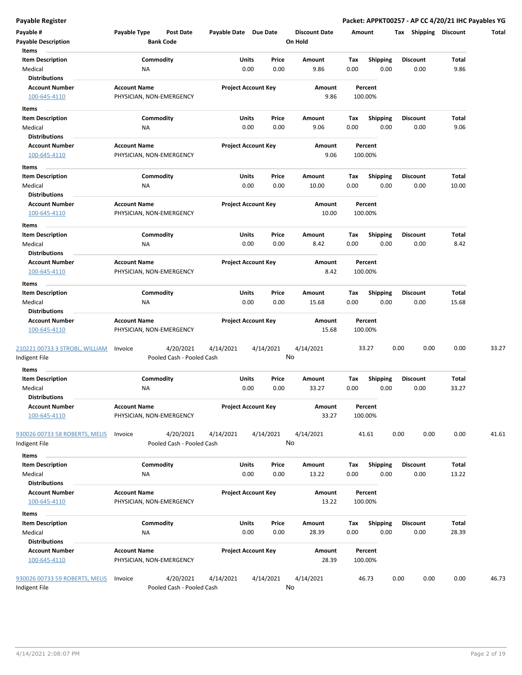**Payable Register Packet: APPKT00257 - AP CC 4/20/21 IHC Payables YG**

| Payable #<br><b>Payable Description</b>                       | Payable Type        | <b>Post Date</b><br><b>Bank Code</b>   | Payable Date Due Date |                                | <b>Discount Date</b><br>On Hold | Amount      |                         | <b>Shipping</b><br>Tax  | <b>Discount</b> | Total |
|---------------------------------------------------------------|---------------------|----------------------------------------|-----------------------|--------------------------------|---------------------------------|-------------|-------------------------|-------------------------|-----------------|-------|
| Items<br><b>Item Description</b><br>Medical                   | ΝA                  | Commodity                              |                       | Units<br>Price<br>0.00<br>0.00 | Amount<br>9.86                  | Tax<br>0.00 | <b>Shipping</b><br>0.00 | <b>Discount</b><br>0.00 | Total<br>9.86   |       |
| <b>Distributions</b><br><b>Account Number</b><br>100-645-4110 | <b>Account Name</b> | PHYSICIAN, NON-EMERGENCY               |                       | <b>Project Account Key</b>     | Amount<br>9.86                  |             | Percent<br>100.00%      |                         |                 |       |
| Items                                                         |                     |                                        |                       |                                |                                 |             |                         |                         |                 |       |
| <b>Item Description</b><br>Medical                            | ΝA                  | Commodity                              |                       | Units<br>Price<br>0.00<br>0.00 | Amount<br>9.06                  | Тах<br>0.00 | <b>Shipping</b><br>0.00 | <b>Discount</b><br>0.00 | Total<br>9.06   |       |
| <b>Distributions</b>                                          |                     |                                        |                       |                                |                                 |             |                         |                         |                 |       |
| <b>Account Number</b><br>100-645-4110                         | <b>Account Name</b> | PHYSICIAN, NON-EMERGENCY               |                       | <b>Project Account Key</b>     | Amount<br>9.06                  |             | Percent<br>100.00%      |                         |                 |       |
| Items                                                         |                     |                                        |                       |                                |                                 |             |                         |                         |                 |       |
| <b>Item Description</b>                                       |                     | Commodity                              |                       | <b>Units</b><br>Price          | Amount                          | Tax         | <b>Shipping</b>         | <b>Discount</b>         | Total           |       |
| Medical                                                       | ΝA                  |                                        |                       | 0.00<br>0.00                   | 10.00                           | 0.00        | 0.00                    | 0.00                    | 10.00           |       |
| <b>Distributions</b>                                          |                     |                                        |                       |                                |                                 |             |                         |                         |                 |       |
| <b>Account Number</b><br>100-645-4110                         | <b>Account Name</b> | PHYSICIAN, NON-EMERGENCY               |                       | <b>Project Account Key</b>     | Amount<br>10.00                 |             | Percent<br>100.00%      |                         |                 |       |
| Items                                                         |                     |                                        |                       |                                |                                 |             |                         |                         |                 |       |
| <b>Item Description</b>                                       |                     | Commodity                              |                       | Units<br>Price                 | Amount                          | Tax         | <b>Shipping</b>         | <b>Discount</b>         | Total           |       |
| Medical                                                       | <b>NA</b>           |                                        |                       | 0.00<br>0.00                   | 8.42                            | 0.00        | 0.00                    | 0.00                    | 8.42            |       |
| <b>Distributions</b><br><b>Account Number</b><br>100-645-4110 | <b>Account Name</b> | PHYSICIAN, NON-EMERGENCY               |                       | <b>Project Account Key</b>     | Amount<br>8.42                  |             | Percent<br>100.00%      |                         |                 |       |
|                                                               |                     |                                        |                       |                                |                                 |             |                         |                         |                 |       |
| Items<br><b>Item Description</b>                              |                     | Commodity                              |                       | Units<br>Price                 | Amount                          | Tax         | <b>Shipping</b>         | <b>Discount</b>         | Total           |       |
| Medical                                                       | <b>NA</b>           |                                        |                       | 0.00<br>0.00                   | 15.68                           | 0.00        | 0.00                    | 0.00                    | 15.68           |       |
| Distributions                                                 |                     |                                        |                       |                                |                                 |             |                         |                         |                 |       |
| <b>Account Number</b><br>100-645-4110                         | <b>Account Name</b> | PHYSICIAN, NON-EMERGENCY               |                       | <b>Project Account Key</b>     | Amount<br>15.68                 |             | Percent<br>100.00%      |                         |                 |       |
| 210221 00733 3 STROBL, WILLIAM<br>Indigent File               | Invoice             | 4/20/2021<br>Pooled Cash - Pooled Cash | 4/14/2021             | 4/14/2021                      | 4/14/2021<br>No                 |             | 33.27                   | 0.00<br>0.00            | 0.00            | 33.27 |
| Items                                                         |                     |                                        |                       |                                |                                 |             |                         |                         |                 |       |
| <b>Item Description</b>                                       |                     | Commodity                              |                       | Units<br>Price                 | Amount                          | Tax         | <b>Shipping</b>         | Discount                | Total           |       |
| Medical<br><b>Distributions</b>                               | ΝA                  |                                        |                       | 0.00<br>0.00                   | 33.27                           | 0.00        | 0.00                    | 0.00                    | 33.27           |       |
| <b>Account Number</b><br>100-645-4110                         | <b>Account Name</b> | PHYSICIAN, NON-EMERGENCY               |                       | <b>Project Account Key</b>     | Amount<br>33.27                 |             | Percent<br>100.00%      |                         |                 |       |
| 930026 00733 58 ROBERTS, MELIS<br>Indigent File               | Invoice             | 4/20/2021<br>Pooled Cash - Pooled Cash | 4/14/2021             | 4/14/2021                      | 4/14/2021<br>No                 |             | 41.61                   | 0.00<br>0.00            | 0.00            | 41.61 |
| Items                                                         |                     |                                        |                       |                                |                                 |             |                         |                         |                 |       |
| <b>Item Description</b><br>Medical                            | <b>NA</b>           | Commodity                              |                       | Units<br>Price<br>0.00<br>0.00 | Amount<br>13.22                 | Tax<br>0.00 | <b>Shipping</b><br>0.00 | <b>Discount</b><br>0.00 | Total<br>13.22  |       |
| <b>Distributions</b>                                          |                     |                                        |                       |                                |                                 |             |                         |                         |                 |       |
| <b>Account Number</b><br>100-645-4110                         | <b>Account Name</b> | PHYSICIAN, NON-EMERGENCY               |                       | <b>Project Account Key</b>     | Amount<br>13.22                 |             | Percent<br>100.00%      |                         |                 |       |
| Items                                                         |                     |                                        |                       |                                |                                 |             |                         |                         |                 |       |
| <b>Item Description</b><br>Medical                            | <b>NA</b>           | Commodity                              |                       | Units<br>Price<br>0.00<br>0.00 | Amount<br>28.39                 | Тах<br>0.00 | <b>Shipping</b><br>0.00 | <b>Discount</b><br>0.00 | Total<br>28.39  |       |
| <b>Distributions</b><br><b>Account Number</b><br>100-645-4110 | <b>Account Name</b> | PHYSICIAN, NON-EMERGENCY               |                       | <b>Project Account Key</b>     | Amount<br>28.39                 |             | Percent<br>100.00%      |                         |                 |       |
| 930026 00733 59 ROBERTS, MELIS<br>Indigent File               | Invoice             | 4/20/2021<br>Pooled Cash - Pooled Cash | 4/14/2021             | 4/14/2021                      | 4/14/2021<br>No                 |             | 46.73                   | 0.00<br>0.00            | 0.00            | 46.73 |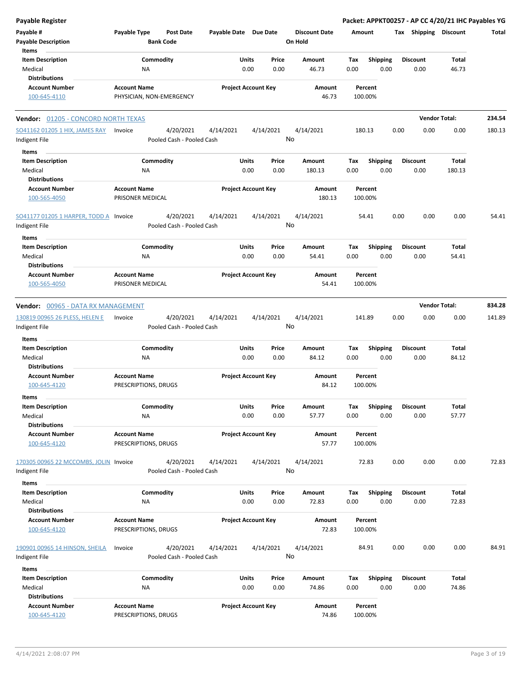| Payable Register                                                    |                                                      |                            |                 |                                 | Packet: APPKT00257 - AP CC 4/20/21 IHC Payables YG |                         |                      |        |
|---------------------------------------------------------------------|------------------------------------------------------|----------------------------|-----------------|---------------------------------|----------------------------------------------------|-------------------------|----------------------|--------|
| Payable #<br><b>Payable Description</b>                             | Payable Type<br><b>Post Date</b><br><b>Bank Code</b> | Payable Date Due Date      |                 | <b>Discount Date</b><br>On Hold | Amount                                             | Tax Shipping Discount   |                      | Total  |
| Items<br><b>Item Description</b><br>Medical                         | Commodity<br><b>NA</b>                               | <b>Units</b><br>0.00       | Price<br>0.00   | Amount<br>46.73                 | Tax<br><b>Shipping</b><br>0.00<br>0.00             | <b>Discount</b><br>0.00 | Total<br>46.73       |        |
| <b>Distributions</b>                                                |                                                      |                            |                 |                                 |                                                    |                         |                      |        |
| <b>Account Number</b><br>100-645-4110                               | <b>Account Name</b><br>PHYSICIAN, NON-EMERGENCY      | <b>Project Account Key</b> |                 | Amount<br>46.73                 | Percent<br>100.00%                                 |                         |                      |        |
| <b>Vendor: 01205 - CONCORD NORTH TEXAS</b>                          |                                                      |                            |                 |                                 |                                                    |                         | <b>Vendor Total:</b> | 234.54 |
| SO41162 01205 1 HIX, JAMES RAY<br>Indigent File                     | 4/20/2021<br>Invoice<br>Pooled Cash - Pooled Cash    | 4/14/2021                  | 4/14/2021       | 4/14/2021<br>No                 | 180.13                                             | 0.00<br>0.00            | 0.00                 | 180.13 |
| Items<br><b>Item Description</b><br>Medical                         | Commodity<br>ΝA                                      | Units<br>0.00              | Price<br>0.00   | Amount<br>180.13                | <b>Shipping</b><br>Tax<br>0.00<br>0.00             | <b>Discount</b><br>0.00 | Total<br>180.13      |        |
| <b>Distributions</b><br><b>Account Number</b><br>100-565-4050       | <b>Account Name</b><br>PRISONER MEDICAL              | <b>Project Account Key</b> |                 | Amount<br>180.13                | Percent<br>100.00%                                 |                         |                      |        |
| SO41177 01205 1 HARPER, TODD A Invoice<br>Indigent File             | 4/20/2021<br>Pooled Cash - Pooled Cash               | 4/14/2021                  | 4/14/2021<br>No | 4/14/2021                       | 54.41                                              | 0.00<br>0.00            | 0.00                 | 54.41  |
| Items<br><b>Item Description</b><br>Medical                         | Commodity<br>ΝA                                      | Units<br>0.00              | Price<br>0.00   | Amount<br>54.41                 | Tax<br><b>Shipping</b><br>0.00<br>0.00             | <b>Discount</b><br>0.00 | Total<br>54.41       |        |
| <b>Distributions</b><br><b>Account Number</b><br>100-565-4050       | <b>Account Name</b><br>PRISONER MEDICAL              | <b>Project Account Key</b> |                 | Amount<br>54.41                 | Percent<br>100.00%                                 |                         |                      |        |
| Vendor: 00965 - DATA RX MANAGEMENT                                  |                                                      |                            |                 |                                 |                                                    |                         | <b>Vendor Total:</b> | 834.28 |
| 130819 00965 26 PLESS, HELEN E<br>Indigent File                     | 4/20/2021<br>Invoice<br>Pooled Cash - Pooled Cash    | 4/14/2021                  | 4/14/2021       | 4/14/2021<br>No                 | 141.89                                             | 0.00<br>0.00            | 0.00                 | 141.89 |
| Items                                                               |                                                      |                            |                 |                                 |                                                    |                         |                      |        |
| <b>Item Description</b><br>Medical<br><b>Distributions</b>          | Commodity<br><b>NA</b>                               | Units<br>0.00              | Price<br>0.00   | <b>Amount</b><br>84.12          | Tax<br><b>Shipping</b><br>0.00<br>0.00             | <b>Discount</b><br>0.00 | Total<br>84.12       |        |
| <b>Account Number</b><br>100-645-4120                               | <b>Account Name</b><br>PRESCRIPTIONS, DRUGS          | <b>Project Account Key</b> |                 | Amount<br>84.12                 | Percent<br>100.00%                                 |                         |                      |        |
| Items<br><b>Item Description</b><br>Medical                         | Commodity<br><b>NA</b>                               | <b>Units</b><br>0.00       | Price<br>0.00   | Amount<br>57.77                 | Tax<br>Shipping<br>0.00<br>0.00                    | Discount<br>0.00        | Total<br>57.77       |        |
| <b>Distributions</b><br><b>Account Number</b><br>100-645-4120       | <b>Account Name</b><br>PRESCRIPTIONS, DRUGS          | <b>Project Account Key</b> |                 | Amount<br>57.77                 | Percent<br>100.00%                                 |                         |                      |        |
| 170305 00965 22 MCCOMBS, JOLIN Invoice<br>Indigent File             | 4/20/2021<br>Pooled Cash - Pooled Cash               | 4/14/2021                  | 4/14/2021       | 4/14/2021<br>No                 | 72.83                                              | 0.00<br>0.00            | 0.00                 | 72.83  |
| Items<br><b>Item Description</b><br>Medical                         | Commodity<br>ΝA                                      | Units<br>0.00              | Price<br>0.00   | Amount<br>72.83                 | Shipping<br>Tax<br>0.00<br>0.00                    | <b>Discount</b><br>0.00 | Total<br>72.83       |        |
| <b>Distributions</b><br><b>Account Number</b><br>100-645-4120       | <b>Account Name</b><br>PRESCRIPTIONS, DRUGS          | <b>Project Account Key</b> |                 | Amount<br>72.83                 | Percent<br>100.00%                                 |                         |                      |        |
| 190901 00965 14 HINSON, SHEILA<br>Indigent File                     | 4/20/2021<br>Invoice<br>Pooled Cash - Pooled Cash    | 4/14/2021                  | 4/14/2021       | 4/14/2021<br>No                 | 84.91                                              | 0.00<br>0.00            | 0.00                 | 84.91  |
| Items<br><b>Item Description</b><br>Medical<br><b>Distributions</b> | Commodity<br><b>NA</b>                               | Units<br>0.00              | Price<br>0.00   | Amount<br>74.86                 | Tax<br><b>Shipping</b><br>0.00<br>0.00             | Discount<br>0.00        | Total<br>74.86       |        |
| <b>Account Number</b><br>100-645-4120                               | <b>Account Name</b><br>PRESCRIPTIONS, DRUGS          | <b>Project Account Key</b> |                 | Amount<br>74.86                 | Percent<br>100.00%                                 |                         |                      |        |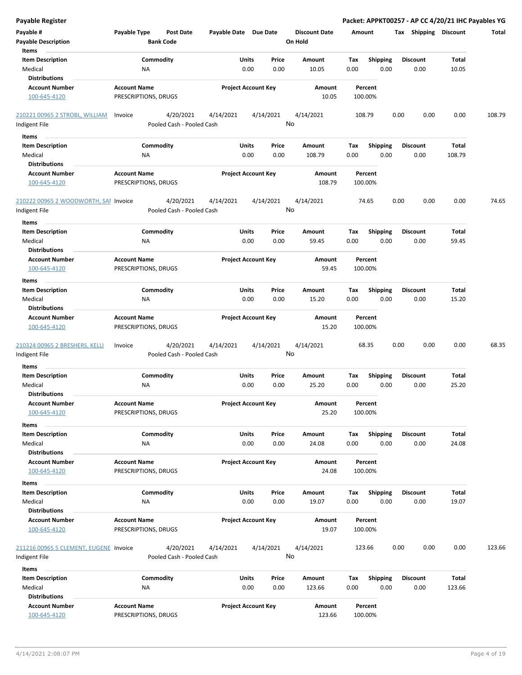| <b>Payable Register</b>                                             |                                             |                                        |                       |                            |                                 |             |                         | Packet: APPKT00257 - AP CC 4/20/21 IHC Payables YG |                 |        |
|---------------------------------------------------------------------|---------------------------------------------|----------------------------------------|-----------------------|----------------------------|---------------------------------|-------------|-------------------------|----------------------------------------------------|-----------------|--------|
| Payable #<br><b>Payable Description</b>                             | Payable Type<br><b>Bank Code</b>            | <b>Post Date</b>                       | Payable Date Due Date |                            | <b>Discount Date</b><br>On Hold | Amount      |                         | Tax Shipping Discount                              |                 | Total  |
| Items<br><b>Item Description</b><br>Medical                         | Commodity<br><b>NA</b>                      |                                        | Units<br>0.00         | Price<br>0.00              | Amount<br>10.05                 | Tax<br>0.00 | <b>Shipping</b><br>0.00 | <b>Discount</b><br>0.00                            | Total<br>10.05  |        |
| <b>Distributions</b><br><b>Account Number</b><br>100-645-4120       | <b>Account Name</b><br>PRESCRIPTIONS, DRUGS |                                        |                       | <b>Project Account Key</b> | Amount<br>10.05                 | 100.00%     | Percent                 |                                                    |                 |        |
| 210221 00965 2 STROBL, WILLIAM<br>Indigent File                     | Invoice                                     | 4/20/2021<br>Pooled Cash - Pooled Cash | 4/14/2021             | 4/14/2021                  | 4/14/2021<br>No                 | 108.79      |                         | 0.00<br>0.00                                       | 0.00            | 108.79 |
|                                                                     |                                             |                                        |                       |                            |                                 |             |                         |                                                    |                 |        |
| Items<br><b>Item Description</b><br>Medical<br><b>Distributions</b> | Commodity<br>ΝA                             |                                        | Units                 | Price<br>0.00<br>0.00      | Amount<br>108.79                | Tax<br>0.00 | <b>Shipping</b><br>0.00 | <b>Discount</b><br>0.00                            | Total<br>108.79 |        |
| <b>Account Number</b><br>100-645-4120                               | <b>Account Name</b><br>PRESCRIPTIONS, DRUGS |                                        |                       | <b>Project Account Key</b> | Amount<br>108.79                | 100.00%     | Percent                 |                                                    |                 |        |
| 210222 00965 2 WOODWORTH, SAI Invoice<br>Indigent File              |                                             | 4/20/2021<br>Pooled Cash - Pooled Cash | 4/14/2021             | 4/14/2021                  | 4/14/2021<br>No                 |             | 74.65                   | 0.00<br>0.00                                       | 0.00            | 74.65  |
| Items                                                               |                                             |                                        |                       |                            |                                 |             |                         |                                                    |                 |        |
| <b>Item Description</b><br>Medical<br><b>Distributions</b>          | Commodity<br><b>NA</b>                      |                                        | Units<br>0.00         | Price<br>0.00              | Amount<br>59.45                 | Tax<br>0.00 | <b>Shipping</b><br>0.00 | <b>Discount</b><br>0.00                            | Total<br>59.45  |        |
| <b>Account Number</b><br>100-645-4120                               | <b>Account Name</b><br>PRESCRIPTIONS, DRUGS |                                        |                       | <b>Project Account Key</b> | Amount<br>59.45                 | 100.00%     | Percent                 |                                                    |                 |        |
| Items                                                               |                                             |                                        |                       |                            |                                 |             |                         |                                                    |                 |        |
| <b>Item Description</b><br>Medical                                  | Commodity<br><b>NA</b>                      |                                        | Units<br>0.00         | Price<br>0.00              | Amount<br>15.20                 | Tax<br>0.00 | <b>Shipping</b><br>0.00 | <b>Discount</b><br>0.00                            | Total<br>15.20  |        |
| <b>Distributions</b><br><b>Account Number</b><br>100-645-4120       | <b>Account Name</b><br>PRESCRIPTIONS, DRUGS |                                        |                       | <b>Project Account Key</b> | Amount<br>15.20                 | 100.00%     | Percent                 |                                                    |                 |        |
| 210324 00965 2 BRESHERS, KELLI<br>Indigent File                     | Invoice                                     | 4/20/2021<br>Pooled Cash - Pooled Cash | 4/14/2021             | 4/14/2021                  | 4/14/2021<br>No                 |             | 68.35                   | 0.00<br>0.00                                       | 0.00            | 68.35  |
| Items                                                               |                                             |                                        |                       |                            |                                 |             |                         |                                                    |                 |        |
| <b>Item Description</b><br>Medical                                  | Commodity<br>ΝA                             |                                        | Units                 | Price<br>0.00<br>0.00      | Amount<br>25.20                 | Tax<br>0.00 | <b>Shipping</b><br>0.00 | <b>Discount</b><br>0.00                            | Total<br>25.20  |        |
| <b>Distributions</b>                                                |                                             |                                        |                       |                            |                                 |             |                         |                                                    |                 |        |
| <b>Account Number</b><br>100-645-4120                               | <b>Account Name</b><br>PRESCRIPTIONS, DRUGS |                                        |                       | <b>Project Account Key</b> | Amount<br>25.20                 | 100.00%     | Percent                 |                                                    |                 |        |
| Items<br><b>Item Description</b>                                    | Commodity                                   |                                        | Units                 | Price                      | Amount                          | Tax         | Shipping                | <b>Discount</b>                                    | Total           |        |
| Medical<br><b>Distributions</b>                                     | <b>NA</b>                                   |                                        |                       | 0.00<br>0.00               | 24.08                           | 0.00        | 0.00                    | 0.00                                               | 24.08           |        |
| <b>Account Number</b><br>100-645-4120                               | <b>Account Name</b><br>PRESCRIPTIONS, DRUGS |                                        |                       | <b>Project Account Key</b> | Amount<br>24.08                 | 100.00%     | Percent                 |                                                    |                 |        |
| Items                                                               |                                             |                                        |                       |                            |                                 |             |                         |                                                    |                 |        |
| <b>Item Description</b><br>Medical<br><b>Distributions</b>          | Commodity<br>NA                             |                                        | Units<br>0.00         | Price<br>0.00              | Amount<br>19.07                 | Tax<br>0.00 | <b>Shipping</b><br>0.00 | <b>Discount</b><br>0.00                            | Total<br>19.07  |        |
| <b>Account Number</b><br>100-645-4120                               | <b>Account Name</b><br>PRESCRIPTIONS, DRUGS |                                        |                       | <b>Project Account Key</b> | Amount<br>19.07                 | 100.00%     | Percent                 |                                                    |                 |        |
| 211216 00965 5 CLEMENT, EUGENE Invoice<br>Indigent File             |                                             | 4/20/2021<br>Pooled Cash - Pooled Cash | 4/14/2021             | 4/14/2021                  | 4/14/2021<br>No                 | 123.66      |                         | 0.00<br>0.00                                       | 0.00            | 123.66 |
| Items                                                               |                                             |                                        |                       |                            |                                 |             |                         |                                                    |                 |        |
| <b>Item Description</b><br>Medical<br><b>Distributions</b>          | Commodity<br><b>NA</b>                      |                                        | Units                 | Price<br>0.00<br>0.00      | Amount<br>123.66                | Tax<br>0.00 | <b>Shipping</b><br>0.00 | <b>Discount</b><br>0.00                            | Total<br>123.66 |        |
| <b>Account Number</b><br>100-645-4120                               | <b>Account Name</b><br>PRESCRIPTIONS, DRUGS |                                        |                       | <b>Project Account Key</b> | Amount<br>123.66                | 100.00%     | Percent                 |                                                    |                 |        |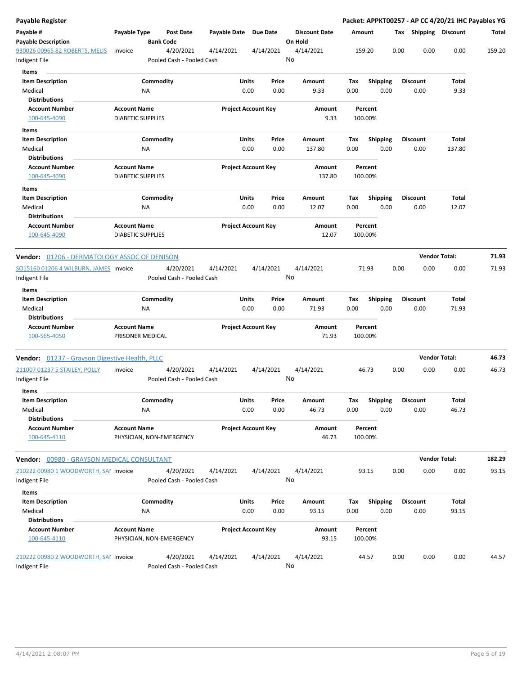| Payable Register                                       |                                                 |                          |                                        |                       |                            |           |                                 |      |                    |                         |      |                       | Packet: APPKT00257 - AP CC 4/20/21 IHC Payables YG |        |
|--------------------------------------------------------|-------------------------------------------------|--------------------------|----------------------------------------|-----------------------|----------------------------|-----------|---------------------------------|------|--------------------|-------------------------|------|-----------------------|----------------------------------------------------|--------|
| Payable #<br><b>Payable Description</b>                | Payable Type                                    | <b>Bank Code</b>         | Post Date                              | Payable Date Due Date |                            |           | <b>Discount Date</b><br>On Hold |      | Amount             |                         |      | Tax Shipping Discount |                                                    | Total  |
| 930026 00965 82 ROBERTS, MELIS                         | Invoice                                         |                          | 4/20/2021                              | 4/14/2021             |                            | 4/14/2021 | 4/14/2021                       |      | 159.20             |                         | 0.00 | 0.00                  | 0.00                                               | 159.20 |
| Indigent File                                          |                                                 |                          | Pooled Cash - Pooled Cash              |                       |                            |           | No                              |      |                    |                         |      |                       |                                                    |        |
| Items                                                  |                                                 |                          |                                        |                       |                            |           |                                 |      |                    |                         |      |                       |                                                    |        |
| <b>Item Description</b>                                |                                                 | Commodity                |                                        |                       | Units                      | Price     | Amount                          | Tax  |                    | <b>Shipping</b>         |      | <b>Discount</b>       | Total                                              |        |
| Medical                                                |                                                 | NA                       |                                        |                       | 0.00                       | 0.00      | 9.33                            | 0.00 |                    | 0.00                    |      | 0.00                  | 9.33                                               |        |
| <b>Distributions</b>                                   |                                                 |                          |                                        |                       |                            |           |                                 |      |                    |                         |      |                       |                                                    |        |
| <b>Account Number</b>                                  | <b>Account Name</b>                             |                          |                                        |                       | <b>Project Account Key</b> |           | Amount                          |      | Percent            |                         |      |                       |                                                    |        |
| 100-645-4090                                           | <b>DIABETIC SUPPLIES</b>                        |                          |                                        |                       |                            |           | 9.33                            |      | 100.00%            |                         |      |                       |                                                    |        |
| Items<br><b>Item Description</b>                       |                                                 | Commodity                |                                        |                       | Units                      | Price     | Amount                          | Tax  |                    |                         |      | <b>Discount</b>       | Total                                              |        |
| Medical                                                |                                                 | NA                       |                                        |                       | 0.00                       | 0.00      | 137.80                          | 0.00 |                    | <b>Shipping</b><br>0.00 |      | 0.00                  | 137.80                                             |        |
| <b>Distributions</b>                                   |                                                 |                          |                                        |                       |                            |           |                                 |      |                    |                         |      |                       |                                                    |        |
| <b>Account Number</b>                                  | <b>Account Name</b>                             |                          |                                        |                       | <b>Project Account Key</b> |           | Amount                          |      | Percent            |                         |      |                       |                                                    |        |
| 100-645-4090                                           | <b>DIABETIC SUPPLIES</b>                        |                          |                                        |                       |                            |           | 137.80                          |      | 100.00%            |                         |      |                       |                                                    |        |
| Items                                                  |                                                 |                          |                                        |                       |                            |           |                                 |      |                    |                         |      |                       |                                                    |        |
| <b>Item Description</b>                                |                                                 | Commodity                |                                        |                       | Units                      | Price     | Amount                          | Tax  |                    | <b>Shipping</b>         |      | <b>Discount</b>       | Total                                              |        |
| Medical                                                |                                                 | ΝA                       |                                        |                       | 0.00                       | 0.00      | 12.07                           | 0.00 |                    | 0.00                    |      | 0.00                  | 12.07                                              |        |
| <b>Distributions</b>                                   |                                                 |                          |                                        |                       |                            |           |                                 |      |                    |                         |      |                       |                                                    |        |
| <b>Account Number</b><br>100-645-4090                  | <b>Account Name</b><br><b>DIABETIC SUPPLIES</b> |                          |                                        |                       | <b>Project Account Key</b> |           | Amount<br>12.07                 |      | Percent<br>100.00% |                         |      |                       |                                                    |        |
| <b>Vendor:</b> 01206 - DERMATOLOGY ASSOC OF DENISON    |                                                 |                          |                                        |                       |                            |           |                                 |      |                    |                         |      | <b>Vendor Total:</b>  |                                                    | 71.93  |
| SO15160 01206 4 WILBURN, JAMES Invoice                 |                                                 |                          | 4/20/2021                              | 4/14/2021             |                            | 4/14/2021 | 4/14/2021                       |      | 71.93              |                         | 0.00 | 0.00                  | 0.00                                               | 71.93  |
| Indigent File                                          |                                                 |                          | Pooled Cash - Pooled Cash              |                       |                            |           | No                              |      |                    |                         |      |                       |                                                    |        |
| Items                                                  |                                                 |                          |                                        |                       |                            |           |                                 |      |                    |                         |      |                       |                                                    |        |
| <b>Item Description</b>                                |                                                 | Commodity                |                                        |                       | Units                      | Price     | Amount                          | Tax  |                    | <b>Shipping</b>         |      | <b>Discount</b>       | Total                                              |        |
| Medical                                                |                                                 | ΝA                       |                                        |                       | 0.00                       | 0.00      | 71.93                           | 0.00 |                    | 0.00                    |      | 0.00                  | 71.93                                              |        |
| <b>Distributions</b>                                   |                                                 |                          |                                        |                       |                            |           |                                 |      |                    |                         |      |                       |                                                    |        |
| <b>Account Number</b><br>100-565-4050                  | <b>Account Name</b><br>PRISONER MEDICAL         |                          |                                        |                       | <b>Project Account Key</b> |           | Amount<br>71.93                 |      | Percent<br>100.00% |                         |      |                       |                                                    |        |
| Vendor: 01237 - Grayson Digestive Health, PLLC         |                                                 |                          |                                        |                       |                            |           |                                 |      |                    |                         |      | <b>Vendor Total:</b>  |                                                    | 46.73  |
| 211007 01237 5 STAILEY, POLLY                          | Invoice                                         |                          | 4/20/2021                              | 4/14/2021             |                            | 4/14/2021 | 4/14/2021                       |      | 46.73              |                         | 0.00 | 0.00                  | 0.00                                               | 46.73  |
| ndigent File                                           |                                                 |                          | Pooled Cash - Pooled Cash              |                       |                            |           | No                              |      |                    |                         |      |                       |                                                    |        |
| Items                                                  |                                                 |                          |                                        |                       |                            |           |                                 |      |                    |                         |      |                       |                                                    |        |
| Item Description                                       |                                                 | Commodity                |                                        |                       | Units                      | Price     | Amount                          | Тах  |                    | Shipping                |      | Discount              | Total                                              |        |
| Medical<br><b>Distributions</b>                        |                                                 | NA                       |                                        |                       | 0.00                       | 0.00      | 46.73                           | 0.00 |                    | 0.00                    |      | 0.00                  | 46.73                                              |        |
| <b>Account Number</b>                                  | <b>Account Name</b>                             |                          |                                        |                       | <b>Project Account Key</b> |           | Amount                          |      | Percent            |                         |      |                       |                                                    |        |
| 100-645-4110                                           |                                                 | PHYSICIAN, NON-EMERGENCY |                                        |                       |                            |           | 46.73                           |      | 100.00%            |                         |      |                       |                                                    |        |
| <b>Vendor:</b> 00980 - GRAYSON MEDICAL CONSULTANT      |                                                 |                          |                                        |                       |                            |           |                                 |      |                    |                         |      | <b>Vendor Total:</b>  |                                                    | 182.29 |
| 210222 00980 1 WOODWORTH, SAI Invoice                  |                                                 |                          | 4/20/2021                              | 4/14/2021             |                            | 4/14/2021 | 4/14/2021                       |      | 93.15              |                         | 0.00 | 0.00                  | 0.00                                               | 93.15  |
| Indigent File                                          |                                                 |                          | Pooled Cash - Pooled Cash              |                       |                            |           | No                              |      |                    |                         |      |                       |                                                    |        |
| Items                                                  |                                                 |                          |                                        |                       |                            |           |                                 |      |                    |                         |      |                       |                                                    |        |
| <b>Item Description</b>                                |                                                 | Commodity                |                                        |                       | <b>Units</b>               | Price     | Amount                          | Tax  |                    | <b>Shipping</b>         |      | <b>Discount</b>       | Total                                              |        |
| Medical                                                |                                                 | NA                       |                                        |                       | 0.00                       | 0.00      | 93.15                           | 0.00 |                    | 0.00                    |      | 0.00                  | 93.15                                              |        |
| <b>Distributions</b>                                   |                                                 |                          |                                        |                       |                            |           |                                 |      |                    |                         |      |                       |                                                    |        |
| <b>Account Number</b><br>100-645-4110                  | <b>Account Name</b>                             | PHYSICIAN, NON-EMERGENCY |                                        |                       | <b>Project Account Key</b> |           | Amount<br>93.15                 |      | Percent<br>100.00% |                         |      |                       |                                                    |        |
| 210222 00980 2 WOODWORTH, SAI Invoice<br>Indigent File |                                                 |                          | 4/20/2021<br>Pooled Cash - Pooled Cash | 4/14/2021             |                            | 4/14/2021 | 4/14/2021<br>No                 |      | 44.57              |                         | 0.00 | 0.00                  | 0.00                                               | 44.57  |
|                                                        |                                                 |                          |                                        |                       |                            |           |                                 |      |                    |                         |      |                       |                                                    |        |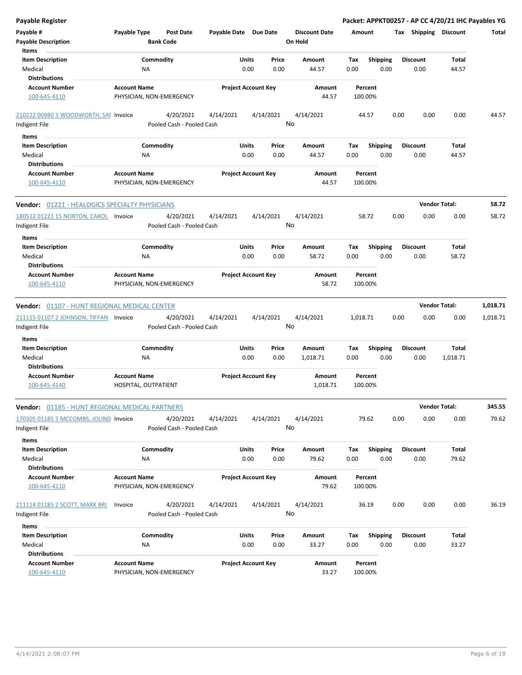| Payable Register                                       |                                                 |                       |                            |                                 | Packet: APPKT00257 - AP CC 4/20/21 IHC Payables YG |      |                       |                      |          |
|--------------------------------------------------------|-------------------------------------------------|-----------------------|----------------------------|---------------------------------|----------------------------------------------------|------|-----------------------|----------------------|----------|
| Payable #<br><b>Payable Description</b>                | Payable Type<br>Post Date<br><b>Bank Code</b>   | Payable Date Due Date |                            | <b>Discount Date</b><br>On Hold | Amount                                             |      | Tax Shipping Discount |                      | Total    |
| Items                                                  |                                                 |                       |                            |                                 |                                                    |      |                       |                      |          |
| <b>Item Description</b>                                | Commodity                                       | Units                 | Price                      | Amount                          | Tax<br><b>Shipping</b>                             |      | <b>Discount</b>       | Total                |          |
| Medical                                                | NA                                              |                       | 0.00<br>0.00               | 44.57                           | 0.00<br>0.00                                       |      | 0.00                  | 44.57                |          |
| <b>Distributions</b>                                   |                                                 |                       |                            |                                 |                                                    |      |                       |                      |          |
| <b>Account Number</b>                                  | <b>Account Name</b>                             |                       | <b>Project Account Key</b> | Amount                          | Percent                                            |      |                       |                      |          |
| 100-645-4110                                           | PHYSICIAN, NON-EMERGENCY                        |                       |                            | 44.57                           | 100.00%                                            |      |                       |                      |          |
| 210222 00980 3 WOODWORTH, SAI Invoice                  | 4/20/2021                                       | 4/14/2021             | 4/14/2021                  | 4/14/2021                       | 44.57                                              | 0.00 | 0.00                  | 0.00                 | 44.57    |
| Indigent File                                          | Pooled Cash - Pooled Cash                       |                       |                            | No                              |                                                    |      |                       |                      |          |
| Items                                                  |                                                 |                       |                            |                                 |                                                    |      |                       |                      |          |
| <b>Item Description</b>                                | Commodity                                       | Units                 | Price                      | Amount                          | <b>Shipping</b><br>Tax                             |      | <b>Discount</b>       | Total                |          |
| Medical                                                | NA                                              |                       | 0.00<br>0.00               | 44.57                           | 0.00<br>0.00                                       |      | 0.00                  | 44.57                |          |
| <b>Distributions</b>                                   |                                                 |                       |                            |                                 |                                                    |      |                       |                      |          |
| <b>Account Number</b><br>100-645-4110                  | <b>Account Name</b><br>PHYSICIAN, NON-EMERGENCY |                       | <b>Project Account Key</b> | Amount<br>44.57                 | Percent<br>100.00%                                 |      |                       |                      |          |
| <b>Vendor: 01221 - HEALOGICS SPECIALTY PHYSICIANS</b>  |                                                 |                       |                            |                                 |                                                    |      |                       | <b>Vendor Total:</b> | 58.72    |
| 180512 01221 15 NORTON, CAROL Invoice<br>Indigent File | 4/20/2021<br>Pooled Cash - Pooled Cash          | 4/14/2021             | 4/14/2021                  | 4/14/2021<br>No                 | 58.72                                              | 0.00 | 0.00                  | 0.00                 | 58.72    |
| Items                                                  |                                                 |                       |                            |                                 |                                                    |      |                       |                      |          |
| <b>Item Description</b>                                | Commodity                                       | Units                 | Price                      | Amount                          | Tax<br><b>Shipping</b>                             |      | <b>Discount</b>       | Total                |          |
| Medical                                                | ΝA                                              |                       | 0.00<br>0.00               | 58.72                           | 0.00<br>0.00                                       |      | 0.00                  | 58.72                |          |
| <b>Distributions</b>                                   |                                                 |                       |                            |                                 |                                                    |      |                       |                      |          |
| <b>Account Number</b><br>100-645-4110                  | <b>Account Name</b><br>PHYSICIAN, NON-EMERGENCY |                       | <b>Project Account Key</b> | Amount<br>58.72                 | Percent<br>100.00%                                 |      |                       |                      |          |
| Vendor: 01107 - HUNT REGIONAL MEDICAL CENTER           |                                                 |                       |                            |                                 |                                                    |      |                       | <b>Vendor Total:</b> | 1,018.71 |
| 211115 01107 2 JOHNSON, TIFFAN Invoice                 | 4/20/2021                                       | 4/14/2021             | 4/14/2021                  | 4/14/2021                       | 1,018.71                                           | 0.00 | 0.00                  | 0.00                 | 1,018.71 |
| Indigent File                                          | Pooled Cash - Pooled Cash                       |                       |                            | No                              |                                                    |      |                       |                      |          |
| Items                                                  |                                                 |                       |                            |                                 |                                                    |      |                       |                      |          |
| <b>Item Description</b>                                | Commodity                                       | Units                 | Price                      | Amount                          | Tax<br><b>Shipping</b>                             |      | <b>Discount</b>       | Total                |          |
| Medical                                                | NA                                              |                       | 0.00<br>0.00               | 1,018.71                        | 0.00<br>0.00                                       |      | 0.00                  | 1,018.71             |          |
| <b>Distributions</b>                                   |                                                 |                       |                            |                                 |                                                    |      |                       |                      |          |
| <b>Account Number</b>                                  | <b>Account Name</b>                             |                       | <b>Project Account Key</b> | Amount                          | Percent                                            |      |                       |                      |          |
| 100-645-4140                                           | HOSPITAL, OUTPATIENT                            |                       |                            | 1,018.71                        | 100.00%                                            |      |                       |                      |          |
| Vendor: 01185 - HUNT REGIONAL MEDICAL PARTNERS         |                                                 |                       |                            |                                 |                                                    |      |                       | <b>Vendor Total:</b> | 345.55   |
| 170305 01185 5 MCCOMBS, JOLIND Invoice                 | 4/20/2021                                       | 4/14/2021             | 4/14/2021                  | 4/14/2021                       | 79.62                                              | 0.00 | 0.00                  | 0.00                 | 79.62    |
| Indigent File                                          | Pooled Cash - Pooled Cash                       |                       |                            | No                              |                                                    |      |                       |                      |          |
| Items                                                  |                                                 |                       |                            |                                 |                                                    |      |                       |                      |          |
| <b>Item Description</b>                                | Commodity                                       |                       | Units<br>Price             | Amount                          | <b>Shipping</b><br>Tax                             |      | <b>Discount</b>       | Total                |          |
| Medical                                                | ΝA                                              |                       | 0.00<br>0.00               | 79.62                           | 0.00<br>0.00                                       |      | 0.00                  | 79.62                |          |
| <b>Distributions</b>                                   |                                                 |                       |                            |                                 |                                                    |      |                       |                      |          |
| <b>Account Number</b>                                  | <b>Account Name</b>                             |                       | <b>Project Account Key</b> | Amount                          | Percent                                            |      |                       |                      |          |
| 100-645-4110                                           | PHYSICIAN, NON-EMERGENCY                        |                       |                            | 79.62                           | 100.00%                                            |      |                       |                      |          |
| 211114 01185 2 SCOTT, MARK BRI                         | 4/20/2021<br>Invoice                            | 4/14/2021             | 4/14/2021                  | 4/14/2021                       | 36.19                                              | 0.00 | 0.00                  | 0.00                 | 36.19    |
| Indigent File                                          | Pooled Cash - Pooled Cash                       |                       |                            | No                              |                                                    |      |                       |                      |          |
| Items                                                  |                                                 |                       |                            |                                 |                                                    |      |                       |                      |          |
| <b>Item Description</b>                                | Commodity                                       | <b>Units</b>          | Price                      | Amount                          | <b>Shipping</b><br>Tax                             |      | <b>Discount</b>       | Total                |          |
| Medical                                                | NA                                              |                       | 0.00<br>0.00               | 33.27                           | 0.00<br>0.00                                       |      | 0.00                  | 33.27                |          |
| <b>Distributions</b>                                   |                                                 |                       |                            |                                 |                                                    |      |                       |                      |          |
| <b>Account Number</b>                                  | <b>Account Name</b>                             |                       | <b>Project Account Key</b> | Amount                          | Percent                                            |      |                       |                      |          |
| 100-645-4110                                           | PHYSICIAN, NON-EMERGENCY                        |                       |                            | 33.27                           | 100.00%                                            |      |                       |                      |          |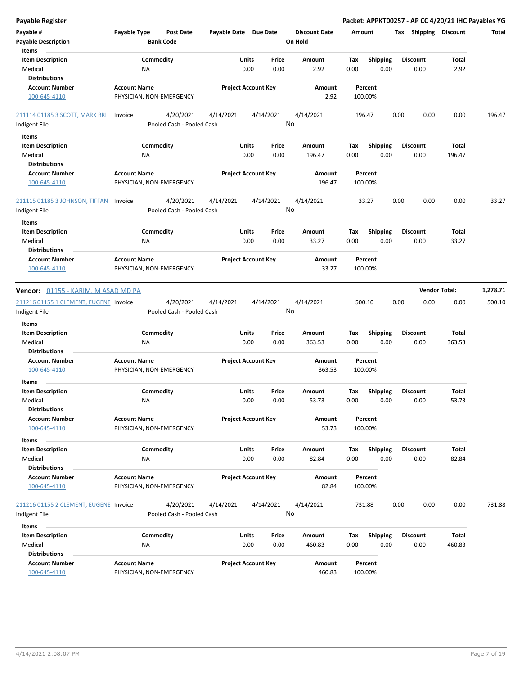| <b>Payable Register</b>                                       |                                                 |                                        |                       |                            |                                 |             |                         | Packet: APPKT00257 - AP CC 4/20/21 IHC Payables YG |                      |          |
|---------------------------------------------------------------|-------------------------------------------------|----------------------------------------|-----------------------|----------------------------|---------------------------------|-------------|-------------------------|----------------------------------------------------|----------------------|----------|
| Payable #<br><b>Payable Description</b>                       | Payable Type                                    | <b>Post Date</b><br><b>Bank Code</b>   | Payable Date Due Date |                            | <b>Discount Date</b><br>On Hold | Amount      |                         | Tax Shipping Discount                              |                      | Total    |
| Items<br><b>Item Description</b><br>Medical                   | Commodity<br>NA                                 |                                        | Units                 | Price<br>0.00<br>0.00      | Amount<br>2.92                  | Tax<br>0.00 | <b>Shipping</b><br>0.00 | <b>Discount</b><br>0.00                            | Total<br>2.92        |          |
| <b>Distributions</b><br><b>Account Number</b><br>100-645-4110 | <b>Account Name</b><br>PHYSICIAN, NON-EMERGENCY |                                        |                       | <b>Project Account Key</b> |                                 | 100.00%     | Percent                 |                                                    |                      |          |
| 211114 01185 3 SCOTT, MARK BRI                                | Invoice                                         | 4/20/2021                              | 4/14/2021             | 4/14/2021                  | 4/14/2021                       | 196.47      |                         | 0.00<br>0.00                                       | 0.00                 | 196.47   |
| Indigent File                                                 |                                                 | Pooled Cash - Pooled Cash              |                       |                            | No                              |             |                         |                                                    |                      |          |
| Items                                                         |                                                 |                                        |                       |                            |                                 |             |                         |                                                    |                      |          |
| <b>Item Description</b><br>Medical                            | Commodity<br>ΝA                                 |                                        | Units                 | Price<br>0.00<br>0.00      | Amount<br>196.47                | Tax<br>0.00 | <b>Shipping</b><br>0.00 | <b>Discount</b><br>0.00                            | Total<br>196.47      |          |
| <b>Distributions</b><br><b>Account Number</b><br>100-645-4110 | <b>Account Name</b><br>PHYSICIAN, NON-EMERGENCY |                                        |                       | <b>Project Account Key</b> | Amount<br>196.47                | 100.00%     | Percent                 |                                                    |                      |          |
|                                                               |                                                 |                                        |                       |                            |                                 |             |                         |                                                    |                      |          |
| 211115 01185 3 JOHNSON, TIFFAN<br>Indigent File               | Invoice                                         | 4/20/2021<br>Pooled Cash - Pooled Cash | 4/14/2021             | 4/14/2021                  | 4/14/2021<br>No                 |             | 33.27                   | 0.00<br>0.00                                       | 0.00                 | 33.27    |
| Items                                                         |                                                 |                                        |                       |                            |                                 |             |                         |                                                    |                      |          |
| <b>Item Description</b><br>Medical<br><b>Distributions</b>    | Commodity<br>ΝA                                 |                                        | Units                 | Price<br>0.00<br>0.00      | Amount<br>33.27                 | Tax<br>0.00 | <b>Shipping</b><br>0.00 | <b>Discount</b><br>0.00                            | Total<br>33.27       |          |
| <b>Account Number</b><br>100-645-4110                         | <b>Account Name</b><br>PHYSICIAN, NON-EMERGENCY |                                        |                       | <b>Project Account Key</b> | Amount<br>33.27                 | 100.00%     | Percent                 |                                                    |                      |          |
|                                                               |                                                 |                                        |                       |                            |                                 |             |                         |                                                    |                      |          |
| Vendor: 01155 - KARIM, M ASAD MD PA                           |                                                 |                                        |                       |                            |                                 |             |                         |                                                    | <b>Vendor Total:</b> | 1,278.71 |
| 211216 01155 1 CLEMENT, EUGENE Invoice<br>Indigent File       |                                                 | 4/20/2021<br>Pooled Cash - Pooled Cash | 4/14/2021             | 4/14/2021                  | 4/14/2021<br>No                 | 500.10      |                         | 0.00<br>0.00                                       | 0.00                 | 500.10   |
| Items                                                         |                                                 |                                        |                       |                            |                                 |             |                         |                                                    |                      |          |
| <b>Item Description</b><br>Medical<br><b>Distributions</b>    | Commodity<br>NA                                 |                                        | Units                 | Price<br>0.00<br>0.00      | Amount<br>363.53                | Tax<br>0.00 | <b>Shipping</b><br>0.00 | <b>Discount</b><br>0.00                            | Total<br>363.53      |          |
| <b>Account Number</b><br>100-645-4110                         | <b>Account Name</b><br>PHYSICIAN, NON-EMERGENCY |                                        |                       | <b>Project Account Key</b> | Amount<br>363.53                | 100.00%     | Percent                 |                                                    |                      |          |
| Items                                                         |                                                 |                                        |                       |                            |                                 |             |                         |                                                    |                      |          |
| <b>Item Description</b><br>Medical<br><b>Distributions</b>    | Commodity<br><b>NA</b>                          |                                        | Units                 | Price<br>0.00<br>0.00      | Amount<br>53.73                 | Тах<br>0.00 | <b>Shipping</b><br>0.00 | <b>Discount</b><br>0.00                            | Total<br>53.73       |          |
| <b>Account Number</b><br>100-645-4110                         | <b>Account Name</b><br>PHYSICIAN, NON-EMERGENCY |                                        |                       | <b>Project Account Key</b> | Amount<br>53.73                 | 100.00%     | Percent                 |                                                    |                      |          |
| Items                                                         |                                                 |                                        |                       |                            |                                 |             |                         |                                                    |                      |          |
| <b>Item Description</b><br>Medical                            | Commodity<br>NA                                 |                                        | Units                 | Price<br>0.00<br>0.00      | Amount<br>82.84                 | Tax<br>0.00 | Shipping<br>0.00        | Discount<br>0.00                                   | Total<br>82.84       |          |
| <b>Distributions</b><br><b>Account Number</b><br>100-645-4110 | <b>Account Name</b><br>PHYSICIAN, NON-EMERGENCY |                                        |                       | <b>Project Account Key</b> | Amount<br>82.84                 | 100.00%     | Percent                 |                                                    |                      |          |
| 211216 01155 2 CLEMENT, EUGENE Invoice<br>Indigent File       |                                                 | 4/20/2021<br>Pooled Cash - Pooled Cash | 4/14/2021             | 4/14/2021                  | 4/14/2021<br>No                 | 731.88      |                         | 0.00<br>0.00                                       | 0.00                 | 731.88   |
| Items                                                         |                                                 |                                        |                       |                            |                                 |             |                         |                                                    |                      |          |
| <b>Item Description</b><br>Medical                            | Commodity<br>NA                                 |                                        | Units                 | Price<br>0.00<br>0.00      | Amount<br>460.83                | Tax<br>0.00 | <b>Shipping</b><br>0.00 | <b>Discount</b><br>0.00                            | Total<br>460.83      |          |
| <b>Distributions</b><br><b>Account Number</b><br>100-645-4110 | <b>Account Name</b><br>PHYSICIAN, NON-EMERGENCY |                                        |                       | <b>Project Account Key</b> | Amount<br>460.83                | 100.00%     | Percent                 |                                                    |                      |          |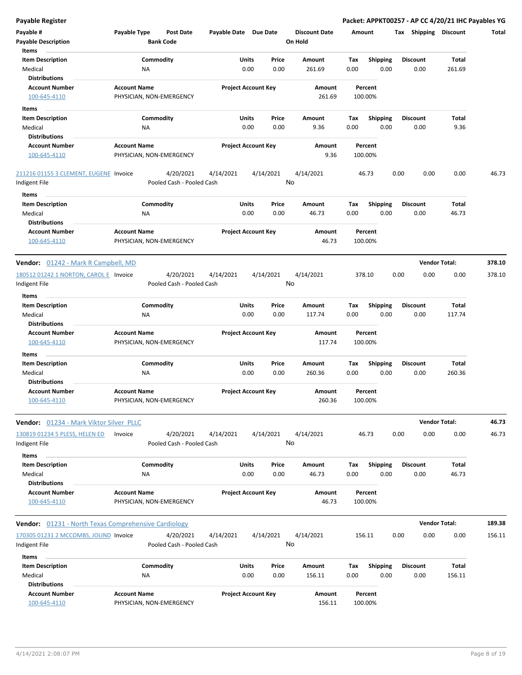| <b>Payable Register</b>                                 |                                                      |                       |                            |                                 |                    |                         | Packet: APPKT00257 - AP CC 4/20/21 IHC Payables YG |                      |        |
|---------------------------------------------------------|------------------------------------------------------|-----------------------|----------------------------|---------------------------------|--------------------|-------------------------|----------------------------------------------------|----------------------|--------|
| Payable #<br><b>Payable Description</b>                 | Payable Type<br><b>Post Date</b><br><b>Bank Code</b> | Payable Date Due Date |                            | <b>Discount Date</b><br>On Hold | Amount             |                         | Tax Shipping Discount                              |                      | Total  |
| Items                                                   |                                                      |                       |                            |                                 |                    |                         |                                                    |                      |        |
| <b>Item Description</b>                                 | Commodity                                            | Units                 | Price                      | Amount                          | Tax                | Shipping                | <b>Discount</b>                                    | Total                |        |
| Medical                                                 | ΝA                                                   | 0.00                  | 0.00                       | 261.69                          | 0.00               | 0.00                    | 0.00                                               | 261.69               |        |
| <b>Distributions</b>                                    |                                                      |                       |                            |                                 |                    |                         |                                                    |                      |        |
| <b>Account Number</b><br>100-645-4110                   | <b>Account Name</b><br>PHYSICIAN, NON-EMERGENCY      |                       | <b>Project Account Key</b> | Amount<br>261.69                | Percent<br>100.00% |                         |                                                    |                      |        |
| Items                                                   |                                                      |                       |                            |                                 |                    |                         |                                                    |                      |        |
| <b>Item Description</b>                                 | Commodity                                            | Units                 | Price                      | Amount                          | Tax                | <b>Shipping</b>         | Discount                                           | Total                |        |
| Medical                                                 | NA                                                   | 0.00                  | 0.00                       | 9.36                            | 0.00               | 0.00                    | 0.00                                               | 9.36                 |        |
| <b>Distributions</b>                                    |                                                      |                       |                            |                                 |                    |                         |                                                    |                      |        |
| <b>Account Number</b>                                   | <b>Account Name</b>                                  |                       | <b>Project Account Key</b> | Amount                          | Percent            |                         |                                                    |                      |        |
| 100-645-4110                                            | PHYSICIAN, NON-EMERGENCY                             |                       |                            | 9.36                            | 100.00%            |                         |                                                    |                      |        |
| 211216 01155 3 CLEMENT, EUGENE Invoice<br>Indigent File | 4/20/2021<br>Pooled Cash - Pooled Cash               | 4/14/2021             | 4/14/2021                  | 4/14/2021<br>No                 | 46.73              |                         | 0.00<br>0.00                                       | 0.00                 | 46.73  |
| Items                                                   |                                                      |                       |                            |                                 |                    |                         |                                                    |                      |        |
| <b>Item Description</b><br>Medical                      | Commodity<br>ΝA                                      | Units<br>0.00         | Price<br>0.00              | Amount<br>46.73                 | Tax<br>0.00        | Shipping<br>0.00        | <b>Discount</b><br>0.00                            | Total<br>46.73       |        |
| <b>Distributions</b>                                    |                                                      |                       |                            |                                 |                    |                         |                                                    |                      |        |
| <b>Account Number</b><br>100-645-4110                   | <b>Account Name</b><br>PHYSICIAN, NON-EMERGENCY      |                       | <b>Project Account Key</b> | Amount<br>46.73                 | Percent<br>100.00% |                         |                                                    |                      |        |
| <b>Vendor:</b> 01242 - Mark R Campbell, MD              |                                                      |                       |                            |                                 |                    |                         |                                                    | <b>Vendor Total:</b> | 378.10 |
| 180512 01242 1 NORTON, CAROL E Invoice<br>Indigent File | 4/20/2021<br>Pooled Cash - Pooled Cash               | 4/14/2021             | 4/14/2021                  | 4/14/2021<br>No                 | 378.10             |                         | 0.00<br>0.00                                       | 0.00                 | 378.10 |
| Items                                                   |                                                      |                       |                            |                                 |                    |                         |                                                    |                      |        |
| <b>Item Description</b>                                 | Commodity                                            | Units                 | Price                      | Amount                          | Tax                | <b>Shipping</b>         | <b>Discount</b>                                    | Total                |        |
| Medical<br><b>Distributions</b>                         | ΝA                                                   | 0.00                  | 0.00                       | 117.74                          | 0.00               | 0.00                    | 0.00                                               | 117.74               |        |
| <b>Account Number</b><br>100-645-4110                   | <b>Account Name</b><br>PHYSICIAN, NON-EMERGENCY      |                       | <b>Project Account Key</b> | Amount<br>117.74                | Percent<br>100.00% |                         |                                                    |                      |        |
| Items                                                   |                                                      |                       |                            |                                 |                    |                         |                                                    |                      |        |
| <b>Item Description</b><br>Medical                      | Commodity<br>NA                                      | Units<br>0.00         | Price<br>0.00              | Amount<br>260.36                | Tax<br>0.00        | <b>Shipping</b><br>0.00 | <b>Discount</b><br>0.00                            | Total<br>260.36      |        |
| <b>Distributions</b><br><b>Account Number</b>           | <b>Account Name</b>                                  |                       | <b>Project Account Key</b> |                                 | Percent            |                         |                                                    |                      |        |
| <u>100-645-4110</u>                                     | PHYSICIAN, NON-EMERGENCY                             |                       |                            | Amount<br>260.36                | 100.00%            |                         |                                                    |                      |        |
| Vendor: 01234 - Mark Viktor Silver PLLC                 |                                                      |                       |                            |                                 |                    |                         |                                                    | <b>Vendor Total:</b> | 46.73  |
| 130819 01234 5 PLESS, HELEN ED<br>Indigent File         | 4/20/2021<br>Invoice<br>Pooled Cash - Pooled Cash    | 4/14/2021             | 4/14/2021                  | 4/14/2021<br>No                 | 46.73              |                         | 0.00<br>0.00                                       | 0.00                 | 46.73  |
| Items                                                   |                                                      |                       |                            |                                 |                    |                         |                                                    |                      |        |
| <b>Item Description</b>                                 | Commodity                                            | <b>Units</b>          | Price                      | Amount                          | Tax                | <b>Shipping</b>         | <b>Discount</b>                                    | Total                |        |
| Medical                                                 | NA                                                   | 0.00                  | 0.00                       | 46.73                           | 0.00               | 0.00                    | 0.00                                               | 46.73                |        |
| <b>Distributions</b>                                    |                                                      |                       |                            |                                 |                    |                         |                                                    |                      |        |
| <b>Account Number</b><br>100-645-4110                   | <b>Account Name</b><br>PHYSICIAN, NON-EMERGENCY      |                       | <b>Project Account Key</b> | Amount<br>46.73                 | Percent<br>100.00% |                         |                                                    |                      |        |
| Vendor: 01231 - North Texas Comprehensive Cardiology    |                                                      |                       |                            |                                 |                    |                         |                                                    | <b>Vendor Total:</b> | 189.38 |
| 170305 01231 2 MCCOMBS, JOLIND Invoice<br>Indigent File | 4/20/2021<br>Pooled Cash - Pooled Cash               | 4/14/2021             | 4/14/2021                  | 4/14/2021<br>No                 | 156.11             |                         | 0.00<br>0.00                                       | 0.00                 | 156.11 |
| Items                                                   |                                                      |                       |                            |                                 |                    |                         |                                                    |                      |        |
| <b>Item Description</b>                                 | Commodity                                            | Units                 | Price                      | Amount                          | Tax                | Shipping                | <b>Discount</b>                                    | Total                |        |
| Medical                                                 | <b>NA</b>                                            | 0.00                  | 0.00                       | 156.11                          | 0.00               | 0.00                    | 0.00                                               | 156.11               |        |
| <b>Distributions</b>                                    |                                                      |                       |                            |                                 |                    |                         |                                                    |                      |        |
| <b>Account Number</b><br>100-645-4110                   | <b>Account Name</b><br>PHYSICIAN, NON-EMERGENCY      |                       | <b>Project Account Key</b> | Amount<br>156.11                | Percent<br>100.00% |                         |                                                    |                      |        |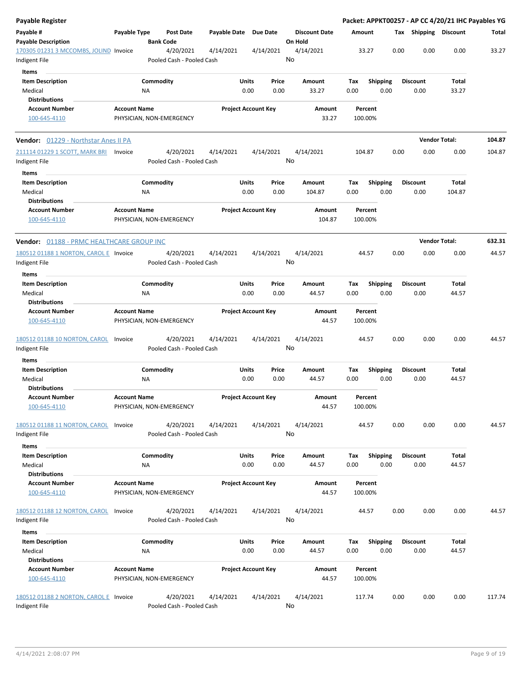| Payable Register                                        |                     |                          |                                        |              |               |                            |         |                      |             |                    |                         |      |                         |                 | Packet: APPKT00257 - AP CC 4/20/21 IHC Payables YG |
|---------------------------------------------------------|---------------------|--------------------------|----------------------------------------|--------------|---------------|----------------------------|---------|----------------------|-------------|--------------------|-------------------------|------|-------------------------|-----------------|----------------------------------------------------|
| Payable #<br><b>Payable Description</b>                 | Payable Type        | <b>Bank Code</b>         | <b>Post Date</b>                       | Payable Date |               | <b>Due Date</b>            | On Hold | <b>Discount Date</b> | Amount      |                    |                         |      | Tax Shipping Discount   |                 | Total                                              |
| 170305 01231 3 MCCOMBS, JOLIND Invoice<br>Indigent File |                     |                          | 4/20/2021<br>Pooled Cash - Pooled Cash | 4/14/2021    |               | 4/14/2021                  | No      | 4/14/2021            |             | 33.27              |                         | 0.00 | 0.00                    | 0.00            | 33.27                                              |
| Items                                                   |                     |                          |                                        |              |               |                            |         |                      |             |                    |                         |      |                         |                 |                                                    |
| <b>Item Description</b><br>Medical                      |                     | Commodity<br>ΝA          |                                        |              | Units<br>0.00 | Price<br>0.00              |         | Amount<br>33.27      | Tax<br>0.00 |                    | Shipping<br>0.00        |      | Discount<br>0.00        | Total<br>33.27  |                                                    |
| <b>Distributions</b>                                    |                     |                          |                                        |              |               |                            |         |                      |             |                    |                         |      |                         |                 |                                                    |
| <b>Account Number</b>                                   | <b>Account Name</b> |                          |                                        |              |               | <b>Project Account Key</b> |         | Amount               |             | Percent            |                         |      |                         |                 |                                                    |
| 100-645-4110                                            |                     | PHYSICIAN, NON-EMERGENCY |                                        |              |               |                            |         | 33.27                |             | 100.00%            |                         |      |                         |                 |                                                    |
| <b>Vendor:</b> 01229 - Northstar Anes II PA             |                     |                          |                                        |              |               |                            |         |                      |             |                    |                         |      | <b>Vendor Total:</b>    |                 | 104.87                                             |
| 211114 01229 1 SCOTT, MARK BRI<br>Indigent File         | Invoice             |                          | 4/20/2021<br>Pooled Cash - Pooled Cash | 4/14/2021    |               | 4/14/2021                  | No      | 4/14/2021            |             | 104.87             |                         | 0.00 | 0.00                    | 0.00            | 104.87                                             |
| Items                                                   |                     |                          |                                        |              |               |                            |         |                      |             |                    |                         |      |                         |                 |                                                    |
| <b>Item Description</b><br>Medical                      |                     | Commodity<br>ΝA          |                                        |              | Units<br>0.00 | Price<br>0.00              |         | Amount<br>104.87     | Tax<br>0.00 |                    | <b>Shipping</b><br>0.00 |      | <b>Discount</b><br>0.00 | Total<br>104.87 |                                                    |
| <b>Distributions</b>                                    |                     |                          |                                        |              |               |                            |         |                      |             |                    |                         |      |                         |                 |                                                    |
| <b>Account Number</b>                                   | <b>Account Name</b> |                          |                                        |              |               | <b>Project Account Key</b> |         | Amount               |             | Percent            |                         |      |                         |                 |                                                    |
| 100-645-4110                                            |                     | PHYSICIAN, NON-EMERGENCY |                                        |              |               |                            |         | 104.87               |             | 100.00%            |                         |      |                         |                 |                                                    |
| Vendor: 01188 - PRMC HEALTHCARE GROUP INC               |                     |                          |                                        |              |               |                            |         |                      |             |                    |                         |      | <b>Vendor Total:</b>    |                 | 632.31                                             |
| 180512 01188 1 NORTON, CAROL E Invoice                  |                     |                          | 4/20/2021                              | 4/14/2021    |               | 4/14/2021                  |         | 4/14/2021            |             | 44.57              |                         | 0.00 | 0.00                    | 0.00            | 44.57                                              |
| Indigent File                                           |                     |                          | Pooled Cash - Pooled Cash              |              |               |                            | No      |                      |             |                    |                         |      |                         |                 |                                                    |
| Items                                                   |                     |                          |                                        |              |               |                            |         |                      |             |                    |                         |      |                         |                 |                                                    |
| <b>Item Description</b>                                 |                     | Commodity                |                                        |              | Units         | Price                      |         | Amount               | Tax         |                    | <b>Shipping</b>         |      | <b>Discount</b>         | Total           |                                                    |
| Medical                                                 |                     | NA                       |                                        |              | 0.00          | 0.00                       |         | 44.57                | 0.00        |                    | 0.00                    |      | 0.00                    | 44.57           |                                                    |
| <b>Distributions</b>                                    |                     |                          |                                        |              |               |                            |         |                      |             |                    |                         |      |                         |                 |                                                    |
| <b>Account Number</b>                                   | <b>Account Name</b> |                          |                                        |              |               | <b>Project Account Key</b> |         | Amount               |             | Percent            |                         |      |                         |                 |                                                    |
| 100-645-4110                                            |                     | PHYSICIAN, NON-EMERGENCY |                                        |              |               |                            |         | 44.57                |             | 100.00%            |                         |      |                         |                 |                                                    |
| 180512 01188 10 NORTON, CAROL<br>Indigent File          | Invoice             |                          | 4/20/2021<br>Pooled Cash - Pooled Cash | 4/14/2021    |               | 4/14/2021                  | No      | 4/14/2021            |             | 44.57              |                         | 0.00 | 0.00                    | 0.00            | 44.57                                              |
| Items                                                   |                     |                          |                                        |              |               |                            |         |                      |             |                    |                         |      |                         |                 |                                                    |
| <b>Item Description</b>                                 |                     | Commodity                |                                        |              | Units         | Price                      |         | Amount               | Tax         |                    | Shipping                |      | <b>Discount</b>         | Total           |                                                    |
| Medical                                                 |                     | ΝA                       |                                        |              | 0.00          | 0.00                       |         | 44.57                | 0.00        |                    | 0.00                    |      | 0.00                    | 44.57           |                                                    |
| <b>Distributions</b>                                    |                     |                          |                                        |              |               |                            |         |                      |             |                    |                         |      |                         |                 |                                                    |
| <b>Account Number</b><br>100-645-4110                   | <b>Account Name</b> | PHYSICIAN, NON-EMERGENCY |                                        |              |               | <b>Project Account Key</b> |         | Amount<br>44.57      |             | Percent<br>100.00% |                         |      |                         |                 |                                                    |
| 180512 01188 11 NORTON, CAROL<br>Indigent File          | Invoice             |                          | 4/20/2021<br>Pooled Cash - Pooled Cash | 4/14/2021    |               | 4/14/2021                  | No      | 4/14/2021            |             | 44.57              |                         | 0.00 | 0.00                    | 0.00            | 44.57                                              |
| Items                                                   |                     |                          |                                        |              |               |                            |         |                      |             |                    |                         |      |                         |                 |                                                    |
| <b>Item Description</b>                                 |                     | Commodity                |                                        |              | Units         | Price                      |         | Amount               | Tax         |                    | Shipping                |      | <b>Discount</b>         | Total           |                                                    |
| Medical                                                 |                     | <b>NA</b>                |                                        |              | 0.00          | 0.00                       |         | 44.57                | 0.00        |                    | 0.00                    |      | 0.00                    | 44.57           |                                                    |
| <b>Distributions</b>                                    |                     |                          |                                        |              |               |                            |         |                      |             |                    |                         |      |                         |                 |                                                    |
| <b>Account Number</b><br>100-645-4110                   | <b>Account Name</b> | PHYSICIAN, NON-EMERGENCY |                                        |              |               | <b>Project Account Key</b> |         | Amount<br>44.57      |             | Percent<br>100.00% |                         |      |                         |                 |                                                    |
| 180512 01188 12 NORTON, CAROL                           | Invoice             |                          | 4/20/2021                              | 4/14/2021    |               | 4/14/2021                  |         | 4/14/2021            |             | 44.57              |                         | 0.00 | 0.00                    | 0.00            | 44.57                                              |
| Indigent File                                           |                     |                          | Pooled Cash - Pooled Cash              |              |               |                            | No      |                      |             |                    |                         |      |                         |                 |                                                    |
| Items                                                   |                     |                          |                                        |              |               |                            |         |                      |             |                    |                         |      |                         |                 |                                                    |
| <b>Item Description</b>                                 |                     | Commodity                |                                        |              | Units         | Price                      |         | Amount               | Tax         |                    | <b>Shipping</b>         |      | <b>Discount</b>         | Total           |                                                    |
| Medical                                                 |                     | ΝA                       |                                        |              | 0.00          | 0.00                       |         | 44.57                | 0.00        |                    | 0.00                    |      | 0.00                    | 44.57           |                                                    |
| <b>Distributions</b>                                    |                     |                          |                                        |              |               |                            |         |                      |             |                    |                         |      |                         |                 |                                                    |
| <b>Account Number</b>                                   | <b>Account Name</b> |                          |                                        |              |               | <b>Project Account Key</b> |         | Amount               |             | Percent            |                         |      |                         |                 |                                                    |
| 100-645-4110                                            |                     | PHYSICIAN, NON-EMERGENCY |                                        |              |               |                            |         | 44.57                |             | 100.00%            |                         |      |                         |                 |                                                    |
| 180512 01188 2 NORTON, CAROL E Invoice                  |                     |                          | 4/20/2021                              | 4/14/2021    |               | 4/14/2021                  |         | 4/14/2021            |             | 117.74             |                         | 0.00 | 0.00                    | 0.00            | 117.74                                             |
| Indigent File                                           |                     |                          | Pooled Cash - Pooled Cash              |              |               |                            | No      |                      |             |                    |                         |      |                         |                 |                                                    |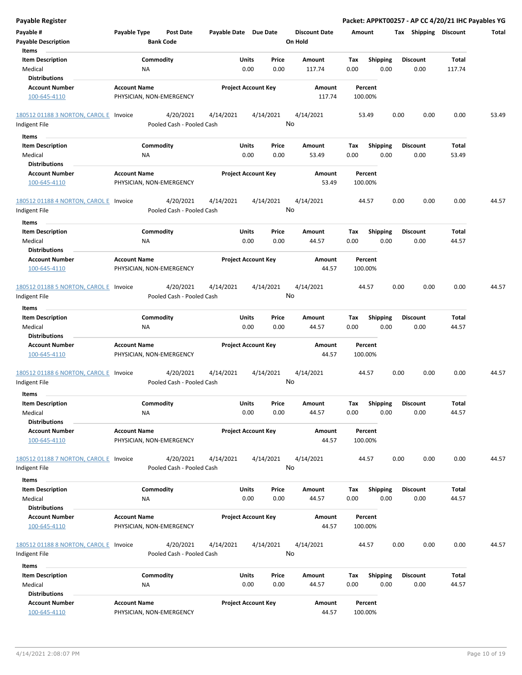| <b>Payable Register</b>                                       |                                                 |                                        |                            |               |               |                                 |             |                         |      |                         |                | Packet: APPKT00257 - AP CC 4/20/21 IHC Payables YG |
|---------------------------------------------------------------|-------------------------------------------------|----------------------------------------|----------------------------|---------------|---------------|---------------------------------|-------------|-------------------------|------|-------------------------|----------------|----------------------------------------------------|
| Payable #<br><b>Payable Description</b>                       | Payable Type                                    | <b>Post Date</b><br><b>Bank Code</b>   | Payable Date Due Date      |               |               | <b>Discount Date</b><br>On Hold | Amount      |                         |      | Tax Shipping Discount   |                | Total                                              |
| Items                                                         |                                                 |                                        |                            |               |               |                                 |             |                         |      |                         |                |                                                    |
| <b>Item Description</b>                                       |                                                 | Commodity                              |                            | Units         | Price         | Amount                          | Tax         | <b>Shipping</b>         |      | <b>Discount</b>         | <b>Total</b>   |                                                    |
| Medical                                                       | <b>NA</b>                                       |                                        |                            | 0.00          | 0.00          | 117.74                          | 0.00        | 0.00                    |      | 0.00                    | 117.74         |                                                    |
| <b>Distributions</b>                                          |                                                 |                                        |                            |               |               |                                 |             |                         |      |                         |                |                                                    |
| <b>Account Number</b>                                         | <b>Account Name</b>                             |                                        | <b>Project Account Key</b> |               |               | Amount                          |             | Percent                 |      |                         |                |                                                    |
| 100-645-4110                                                  | PHYSICIAN, NON-EMERGENCY                        |                                        |                            |               |               | 117.74                          |             | 100.00%                 |      |                         |                |                                                    |
| 180512 01188 3 NORTON, CAROL E Invoice                        |                                                 | 4/20/2021                              | 4/14/2021                  | 4/14/2021     |               | 4/14/2021                       |             | 53.49                   | 0.00 | 0.00                    | 0.00           | 53.49                                              |
| Indigent File                                                 |                                                 | Pooled Cash - Pooled Cash              |                            |               |               | No                              |             |                         |      |                         |                |                                                    |
| Items                                                         |                                                 |                                        |                            |               |               |                                 |             |                         |      |                         |                |                                                    |
| <b>Item Description</b>                                       |                                                 | Commodity                              |                            | Units         | Price         | Amount                          | Tax         | <b>Shipping</b>         |      | <b>Discount</b>         | Total          |                                                    |
| Medical                                                       | <b>NA</b>                                       |                                        |                            | 0.00          | 0.00          | 53.49                           | 0.00        | 0.00                    |      | 0.00                    | 53.49          |                                                    |
| <b>Distributions</b>                                          |                                                 |                                        |                            |               |               |                                 |             |                         |      |                         |                |                                                    |
| <b>Account Number</b>                                         | <b>Account Name</b>                             |                                        | <b>Project Account Key</b> |               |               | Amount                          |             | Percent                 |      |                         |                |                                                    |
| 100-645-4110                                                  | PHYSICIAN, NON-EMERGENCY                        |                                        |                            |               |               | 53.49                           |             | 100.00%                 |      |                         |                |                                                    |
| 180512 01188 4 NORTON, CAROL E Invoice                        |                                                 | 4/20/2021                              | 4/14/2021                  | 4/14/2021     |               | 4/14/2021                       |             | 44.57                   | 0.00 | 0.00                    | 0.00           | 44.57                                              |
| Indigent File                                                 |                                                 | Pooled Cash - Pooled Cash              |                            |               |               | No                              |             |                         |      |                         |                |                                                    |
| Items                                                         |                                                 |                                        |                            |               |               |                                 |             |                         |      |                         |                |                                                    |
| <b>Item Description</b><br>Medical                            | <b>NA</b>                                       | Commodity                              |                            | Units<br>0.00 | Price<br>0.00 | Amount<br>44.57                 | Tax<br>0.00 | <b>Shipping</b><br>0.00 |      | <b>Discount</b><br>0.00 | Total<br>44.57 |                                                    |
| <b>Distributions</b>                                          |                                                 |                                        |                            |               |               |                                 |             |                         |      |                         |                |                                                    |
| <b>Account Number</b><br>100-645-4110                         | <b>Account Name</b><br>PHYSICIAN, NON-EMERGENCY |                                        | <b>Project Account Key</b> |               |               | Amount<br>44.57                 |             | Percent<br>100.00%      |      |                         |                |                                                    |
| 180512 01188 5 NORTON, CAROL E Invoice                        |                                                 | 4/20/2021                              | 4/14/2021                  |               | 4/14/2021     | 4/14/2021                       |             | 44.57                   | 0.00 | 0.00                    | 0.00           | 44.57                                              |
| Indigent File                                                 |                                                 | Pooled Cash - Pooled Cash              |                            |               |               | No                              |             |                         |      |                         |                |                                                    |
| Items                                                         |                                                 |                                        |                            |               |               |                                 |             |                         |      |                         |                |                                                    |
| <b>Item Description</b>                                       |                                                 | Commodity                              |                            | Units         | Price         | Amount                          | Tax         | <b>Shipping</b>         |      | <b>Discount</b>         | Total          |                                                    |
| Medical                                                       | <b>NA</b>                                       |                                        |                            | 0.00          | 0.00          | 44.57                           | 0.00        | 0.00                    |      | 0.00                    | 44.57          |                                                    |
| <b>Distributions</b>                                          |                                                 |                                        |                            |               |               |                                 |             |                         |      |                         |                |                                                    |
| <b>Account Number</b><br>100-645-4110                         | <b>Account Name</b><br>PHYSICIAN, NON-EMERGENCY |                                        | <b>Project Account Key</b> |               |               | Amount<br>44.57                 |             | Percent<br>100.00%      |      |                         |                |                                                    |
| 180512 01188 6 NORTON, CAROL E Invoice<br>Indigent File       |                                                 | 4/20/2021<br>Pooled Cash - Pooled Cash | 4/14/2021                  | 4/14/2021     |               | 4/14/2021<br>No                 |             | 44.57                   | 0.00 | 0.00                    | 0.00           | 44.57                                              |
| Items                                                         |                                                 |                                        |                            |               |               |                                 |             |                         |      |                         |                |                                                    |
| <b>Item Description</b>                                       |                                                 | Commodity                              |                            | Units         | Price         | Amount                          | Tax         | Shipping                |      | <b>Discount</b>         | Total          |                                                    |
| Medical                                                       | <b>NA</b>                                       |                                        |                            | 0.00          | 0.00          | 44.57                           | 0.00        | 0.00                    |      | 0.00                    | 44.57          |                                                    |
| <b>Distributions</b><br><b>Account Number</b><br>100-645-4110 | <b>Account Name</b>                             |                                        | <b>Project Account Key</b> |               |               | Amount<br>44.57                 |             | Percent<br>100.00%      |      |                         |                |                                                    |
|                                                               | PHYSICIAN, NON-EMERGENCY                        |                                        |                            |               |               |                                 |             |                         |      |                         |                |                                                    |
| 180512 01188 7 NORTON, CAROL E Invoice<br>Indigent File       |                                                 | 4/20/2021<br>Pooled Cash - Pooled Cash | 4/14/2021                  | 4/14/2021     |               | 4/14/2021<br>No                 |             | 44.57                   | 0.00 | 0.00                    | 0.00           | 44.57                                              |
| Items                                                         |                                                 |                                        |                            |               |               |                                 |             |                         |      |                         |                |                                                    |
| <b>Item Description</b>                                       |                                                 | Commodity                              |                            | Units         | Price         | Amount                          | Tax         | <b>Shipping</b>         |      | <b>Discount</b>         | Total          |                                                    |
| Medical                                                       | NA                                              |                                        |                            | 0.00          | 0.00          | 44.57                           | 0.00        | 0.00                    |      | 0.00                    | 44.57          |                                                    |
| <b>Distributions</b>                                          |                                                 |                                        |                            |               |               |                                 |             |                         |      |                         |                |                                                    |
| <b>Account Number</b><br>100-645-4110                         | <b>Account Name</b><br>PHYSICIAN, NON-EMERGENCY |                                        | <b>Project Account Key</b> |               |               | Amount<br>44.57                 |             | Percent<br>100.00%      |      |                         |                |                                                    |
| 180512 01188 8 NORTON, CAROL E Invoice<br>Indigent File       |                                                 | 4/20/2021<br>Pooled Cash - Pooled Cash | 4/14/2021                  |               | 4/14/2021     | 4/14/2021<br>No                 |             | 44.57                   | 0.00 | 0.00                    | 0.00           | 44.57                                              |
|                                                               |                                                 |                                        |                            |               |               |                                 |             |                         |      |                         |                |                                                    |
| Items                                                         |                                                 |                                        |                            |               |               |                                 |             |                         |      |                         |                |                                                    |
| <b>Item Description</b>                                       |                                                 | Commodity                              |                            | Units         | Price         | Amount                          | Tax         | <b>Shipping</b>         |      | Discount                | Total          |                                                    |
| Medical                                                       | <b>NA</b>                                       |                                        |                            | 0.00          | 0.00          | 44.57                           | 0.00        | 0.00                    |      | 0.00                    | 44.57          |                                                    |
| <b>Distributions</b>                                          |                                                 |                                        |                            |               |               |                                 |             |                         |      |                         |                |                                                    |
| <b>Account Number</b><br>100-645-4110                         | <b>Account Name</b><br>PHYSICIAN, NON-EMERGENCY |                                        | <b>Project Account Key</b> |               |               | Amount<br>44.57                 |             | Percent<br>100.00%      |      |                         |                |                                                    |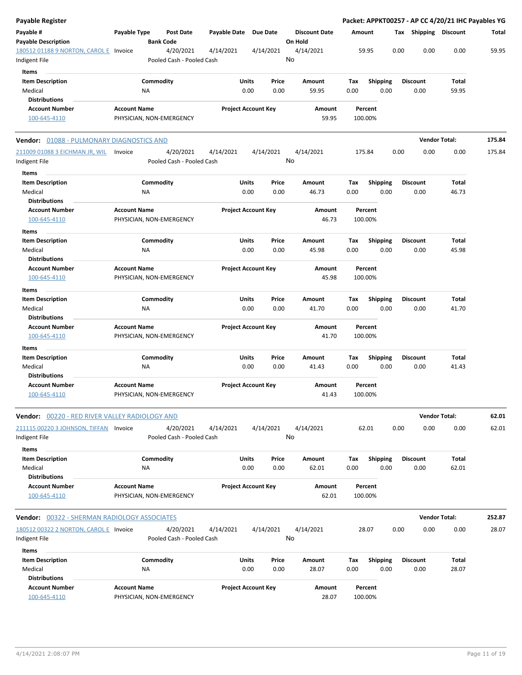| <b>Payable Register</b>                                       |                                                 |                  |                                        |                       |                            |                            |         |                      |             |                         |      |                         | Packet: APPKT00257 - AP CC 4/20/21 IHC Payables YG |        |
|---------------------------------------------------------------|-------------------------------------------------|------------------|----------------------------------------|-----------------------|----------------------------|----------------------------|---------|----------------------|-------------|-------------------------|------|-------------------------|----------------------------------------------------|--------|
| Payable #<br><b>Payable Description</b>                       | Payable Type                                    | <b>Bank Code</b> | <b>Post Date</b>                       | Payable Date Due Date |                            |                            | On Hold | <b>Discount Date</b> | Amount      |                         | Тах  |                         | Shipping Discount                                  | Total  |
| 180512 01188 9 NORTON, CAROL E Invoice<br>Indigent File       |                                                 |                  | 4/20/2021<br>Pooled Cash - Pooled Cash | 4/14/2021             |                            | 4/14/2021                  | No      | 4/14/2021            |             | 59.95                   | 0.00 | 0.00                    | 0.00                                               | 59.95  |
| Items<br><b>Item Description</b><br>Medical                   |                                                 | Commodity<br>ΝA  |                                        |                       | Units<br>0.00              | Price<br>0.00              |         | Amount<br>59.95      | Tax<br>0.00 | <b>Shipping</b><br>0.00 |      | <b>Discount</b><br>0.00 | Total<br>59.95                                     |        |
| <b>Distributions</b>                                          |                                                 |                  |                                        |                       |                            |                            |         |                      |             |                         |      |                         |                                                    |        |
| <b>Account Number</b><br>100-645-4110                         | <b>Account Name</b><br>PHYSICIAN, NON-EMERGENCY |                  |                                        |                       |                            | <b>Project Account Key</b> |         | Amount<br>59.95      |             | Percent<br>100.00%      |      |                         |                                                    |        |
| Vendor: 01088 - PULMONARY DIAGNOSTICS AND                     |                                                 |                  |                                        |                       |                            |                            |         |                      |             |                         |      |                         | <b>Vendor Total:</b>                               | 175.84 |
| 211009 01088 3 EICHMAN JR, WIL<br>Indigent File               | Invoice                                         |                  | 4/20/2021<br>Pooled Cash - Pooled Cash | 4/14/2021             |                            | 4/14/2021                  | No      | 4/14/2021            |             | 175.84                  | 0.00 | 0.00                    | 0.00                                               | 175.84 |
| Items                                                         |                                                 |                  |                                        |                       |                            |                            |         |                      |             |                         |      |                         |                                                    |        |
| <b>Item Description</b><br>Medical<br><b>Distributions</b>    |                                                 | Commodity<br>ΝA  |                                        |                       | Units<br>0.00              | Price<br>0.00              |         | Amount<br>46.73      | Tax<br>0.00 | Shipping<br>0.00        |      | <b>Discount</b><br>0.00 | Total<br>46.73                                     |        |
| <b>Account Number</b><br>100-645-4110                         | <b>Account Name</b><br>PHYSICIAN, NON-EMERGENCY |                  |                                        |                       |                            | <b>Project Account Key</b> |         | Amount<br>46.73      |             | Percent<br>100.00%      |      |                         |                                                    |        |
| Items                                                         |                                                 |                  |                                        |                       |                            |                            |         |                      |             |                         |      |                         |                                                    |        |
| <b>Item Description</b><br>Medical<br><b>Distributions</b>    |                                                 | Commodity<br>NA  |                                        |                       | Units<br>0.00              | Price<br>0.00              |         | Amount<br>45.98      | Tax<br>0.00 | <b>Shipping</b><br>0.00 |      | <b>Discount</b><br>0.00 | Total<br>45.98                                     |        |
| <b>Account Number</b><br>100-645-4110                         | <b>Account Name</b><br>PHYSICIAN, NON-EMERGENCY |                  |                                        |                       |                            | <b>Project Account Key</b> |         | Amount<br>45.98      |             | Percent<br>100.00%      |      |                         |                                                    |        |
| Items                                                         |                                                 |                  |                                        |                       |                            |                            |         |                      |             |                         |      |                         |                                                    |        |
| <b>Item Description</b><br>Medical                            |                                                 | Commodity<br>ΝA  |                                        |                       | Units<br>0.00              | Price<br>0.00              |         | Amount<br>41.70      | Tax<br>0.00 | <b>Shipping</b><br>0.00 |      | <b>Discount</b><br>0.00 | Total<br>41.70                                     |        |
| <b>Distributions</b><br><b>Account Number</b><br>100-645-4110 | <b>Account Name</b><br>PHYSICIAN, NON-EMERGENCY |                  |                                        |                       | <b>Project Account Key</b> |                            |         | Amount<br>41.70      |             | Percent<br>100.00%      |      |                         |                                                    |        |
| Items                                                         |                                                 |                  |                                        |                       |                            |                            |         |                      |             |                         |      |                         |                                                    |        |
| <b>Item Description</b><br>Medical                            |                                                 | Commodity<br>ΝA  |                                        |                       | Units<br>0.00              | Price<br>0.00              |         | Amount<br>41.43      | Tax<br>0.00 | <b>Shipping</b><br>0.00 |      | <b>Discount</b><br>0.00 | Total<br>41.43                                     |        |
| <b>Distributions</b><br><b>Account Number</b><br>100-645-4110 | <b>Account Name</b><br>PHYSICIAN, NON-EMERGENCY |                  |                                        |                       |                            | <b>Project Account Key</b> |         | Amount<br>41.43      |             | Percent<br>100.00%      |      |                         |                                                    |        |
| Vendor: 00220 - RED RIVER VALLEY RADIOLOGY AND                |                                                 |                  |                                        |                       |                            |                            |         |                      |             |                         |      |                         | <b>Vendor Total:</b>                               | 62.01  |
| 211115 00220 3 JOHNSON, TIFFAN<br>Indigent File               | Invoice                                         |                  | 4/20/2021<br>Pooled Cash - Pooled Cash | 4/14/2021             |                            | 4/14/2021                  | No      | 4/14/2021            |             | 62.01                   | 0.00 | 0.00                    | 0.00                                               | 62.01  |
| Items<br><b>Item Description</b>                              |                                                 | Commodity        |                                        |                       | Units                      | Price                      |         | Amount               | Tax         | <b>Shipping</b>         |      | <b>Discount</b>         | Total                                              |        |
| Medical<br><b>Distributions</b>                               |                                                 | NA               |                                        |                       | 0.00                       | 0.00                       |         | 62.01                | 0.00        | 0.00                    |      | 0.00                    | 62.01                                              |        |
| <b>Account Number</b><br>100-645-4110                         | <b>Account Name</b><br>PHYSICIAN, NON-EMERGENCY |                  |                                        |                       |                            | <b>Project Account Key</b> |         | Amount<br>62.01      |             | Percent<br>100.00%      |      |                         |                                                    |        |
| <b>Vendor:</b> 00322 - SHERMAN RADIOLOGY ASSOCIATES           |                                                 |                  |                                        |                       |                            |                            |         |                      |             |                         |      |                         | <b>Vendor Total:</b>                               | 252.87 |
| 180512 00322 2 NORTON, CAROL E Invoice<br>Indigent File       |                                                 |                  | 4/20/2021<br>Pooled Cash - Pooled Cash | 4/14/2021             |                            | 4/14/2021                  | No      | 4/14/2021            |             | 28.07                   | 0.00 | 0.00                    | 0.00                                               | 28.07  |
| Items                                                         |                                                 |                  |                                        |                       |                            |                            |         |                      |             |                         |      |                         |                                                    |        |
| <b>Item Description</b>                                       |                                                 | Commodity        |                                        |                       | Units                      | Price                      |         | Amount               | Tax         | <b>Shipping</b>         |      | <b>Discount</b>         | Total                                              |        |
| Medical                                                       |                                                 | ΝA               |                                        |                       | 0.00                       | 0.00                       |         | 28.07                | 0.00        | 0.00                    |      | 0.00                    | 28.07                                              |        |
| <b>Distributions</b><br><b>Account Number</b><br>100-645-4110 | <b>Account Name</b><br>PHYSICIAN, NON-EMERGENCY |                  |                                        |                       |                            | <b>Project Account Key</b> |         | Amount<br>28.07      |             | Percent<br>100.00%      |      |                         |                                                    |        |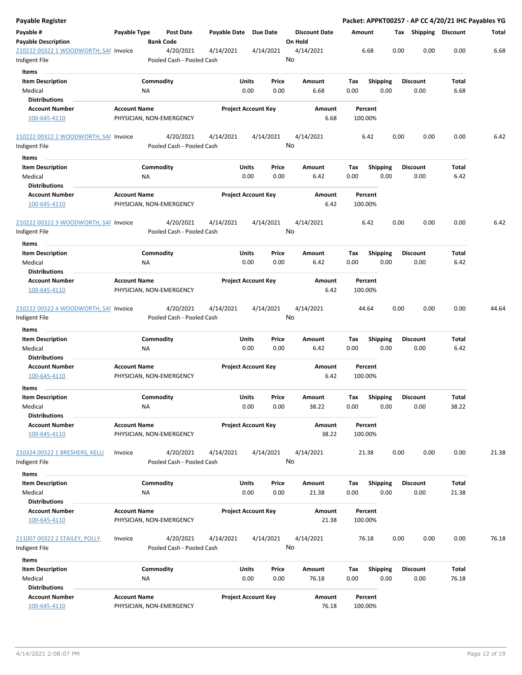| Payable Register                      |                          |                  |                           |                       |                            |           |                      |       |         |                 |      |                 |      |                       | Packet: APPKT00257 - AP CC 4/20/21 IHC Payables YG |
|---------------------------------------|--------------------------|------------------|---------------------------|-----------------------|----------------------------|-----------|----------------------|-------|---------|-----------------|------|-----------------|------|-----------------------|----------------------------------------------------|
| Payable #                             | Payable Type             |                  | <b>Post Date</b>          | Payable Date Due Date |                            |           | <b>Discount Date</b> |       | Amount  |                 |      |                 |      | Tax Shipping Discount | Total                                              |
| <b>Payable Description</b>            |                          | <b>Bank Code</b> |                           |                       |                            |           | On Hold              |       |         |                 |      |                 |      |                       |                                                    |
| 210222 00322 1 WOODWORTH, SAI Invoice |                          |                  | 4/20/2021                 | 4/14/2021             |                            | 4/14/2021 | 4/14/2021            |       |         | 6.68            | 0.00 |                 | 0.00 | 0.00                  | 6.68                                               |
| Indigent File                         |                          |                  | Pooled Cash - Pooled Cash |                       |                            |           | No                   |       |         |                 |      |                 |      |                       |                                                    |
| Items                                 |                          |                  |                           |                       |                            |           |                      |       |         |                 |      |                 |      |                       |                                                    |
| <b>Item Description</b>               |                          | Commodity        |                           |                       | Units                      | Price     | Amount               |       | Tax     | Shipping        |      | <b>Discount</b> |      | Total                 |                                                    |
| Medical                               |                          | NA               |                           |                       | 0.00                       | 0.00      | 6.68                 |       | 0.00    | 0.00            |      | 0.00            |      | 6.68                  |                                                    |
| <b>Distributions</b>                  |                          |                  |                           |                       |                            |           |                      |       |         |                 |      |                 |      |                       |                                                    |
| <b>Account Number</b>                 | <b>Account Name</b>      |                  |                           |                       | <b>Project Account Key</b> |           | Amount               |       |         | Percent         |      |                 |      |                       |                                                    |
| 100-645-4110                          | PHYSICIAN, NON-EMERGENCY |                  |                           |                       |                            |           |                      | 6.68  | 100.00% |                 |      |                 |      |                       |                                                    |
|                                       |                          |                  |                           |                       |                            |           |                      |       |         |                 |      |                 |      |                       |                                                    |
| 210222 00322 2 WOODWORTH, SAI Invoice |                          |                  | 4/20/2021                 | 4/14/2021             |                            | 4/14/2021 | 4/14/2021            |       |         | 6.42            | 0.00 |                 | 0.00 | 0.00                  | 6.42                                               |
| Indigent File                         |                          |                  | Pooled Cash - Pooled Cash |                       |                            |           | No                   |       |         |                 |      |                 |      |                       |                                                    |
| Items                                 |                          |                  |                           |                       |                            |           |                      |       |         |                 |      |                 |      |                       |                                                    |
| <b>Item Description</b>               |                          | Commodity        |                           |                       | Units                      | Price     | Amount               |       | Тах     | <b>Shipping</b> |      | <b>Discount</b> |      | Total                 |                                                    |
| Medical                               |                          | ΝA               |                           |                       | 0.00                       | 0.00      | 6.42                 |       | 0.00    | 0.00            |      | 0.00            |      | 6.42                  |                                                    |
| <b>Distributions</b>                  |                          |                  |                           |                       |                            |           |                      |       |         |                 |      |                 |      |                       |                                                    |
| <b>Account Number</b>                 | <b>Account Name</b>      |                  |                           |                       | <b>Project Account Key</b> |           | Amount               |       |         | Percent         |      |                 |      |                       |                                                    |
| 100-645-4110                          | PHYSICIAN, NON-EMERGENCY |                  |                           |                       |                            |           |                      | 6.42  | 100.00% |                 |      |                 |      |                       |                                                    |
|                                       |                          |                  |                           |                       |                            |           |                      |       |         |                 |      |                 |      |                       |                                                    |
| 210222 00322 3 WOODWORTH, SAI Invoice |                          |                  | 4/20/2021                 | 4/14/2021             |                            | 4/14/2021 | 4/14/2021            |       |         | 6.42            | 0.00 |                 | 0.00 | 0.00                  | 6.42                                               |
| Indigent File                         |                          |                  | Pooled Cash - Pooled Cash |                       |                            |           | No                   |       |         |                 |      |                 |      |                       |                                                    |
| Items                                 |                          |                  |                           |                       |                            |           |                      |       |         |                 |      |                 |      |                       |                                                    |
| <b>Item Description</b>               |                          | Commodity        |                           |                       | Units                      | Price     | Amount               |       | Tax     | <b>Shipping</b> |      | <b>Discount</b> |      | Total                 |                                                    |
| Medical                               |                          | ΝA               |                           |                       | 0.00                       | 0.00      | 6.42                 |       | 0.00    | 0.00            |      | 0.00            |      | 6.42                  |                                                    |
| <b>Distributions</b>                  |                          |                  |                           |                       |                            |           |                      |       |         |                 |      |                 |      |                       |                                                    |
| <b>Account Number</b>                 | <b>Account Name</b>      |                  |                           |                       | <b>Project Account Key</b> |           | Amount               |       |         | Percent         |      |                 |      |                       |                                                    |
| 100-645-4110                          | PHYSICIAN, NON-EMERGENCY |                  |                           |                       |                            |           |                      | 6.42  | 100.00% |                 |      |                 |      |                       |                                                    |
|                                       |                          |                  |                           |                       |                            |           |                      |       |         |                 |      |                 |      |                       |                                                    |
| 210222 00322 4 WOODWORTH, SAI Invoice |                          |                  | 4/20/2021                 | 4/14/2021             |                            | 4/14/2021 | 4/14/2021            |       |         | 44.64           | 0.00 |                 | 0.00 | 0.00                  | 44.64                                              |
| Indigent File                         |                          |                  | Pooled Cash - Pooled Cash |                       |                            |           | No                   |       |         |                 |      |                 |      |                       |                                                    |
| Items                                 |                          |                  |                           |                       |                            |           |                      |       |         |                 |      |                 |      |                       |                                                    |
| <b>Item Description</b>               |                          | Commodity        |                           |                       | Units                      | Price     | Amount               |       | Tax     | <b>Shipping</b> |      | <b>Discount</b> |      | Total                 |                                                    |
| Medical                               |                          | NA               |                           |                       | 0.00                       | 0.00      | 6.42                 |       | 0.00    | 0.00            |      | 0.00            |      | 6.42                  |                                                    |
| <b>Distributions</b>                  |                          |                  |                           |                       |                            |           |                      |       |         |                 |      |                 |      |                       |                                                    |
| <b>Account Number</b>                 | <b>Account Name</b>      |                  |                           |                       | <b>Project Account Key</b> |           | Amount               |       |         | Percent         |      |                 |      |                       |                                                    |
| 100-645-4110                          | PHYSICIAN, NON-EMERGENCY |                  |                           |                       |                            |           |                      | 6.42  | 100.00% |                 |      |                 |      |                       |                                                    |
| Items                                 |                          |                  |                           |                       |                            |           |                      |       |         |                 |      |                 |      |                       |                                                    |
| <b>Item Description</b>               |                          | Commodity        |                           |                       | Units                      | Price     | Amount               |       | Tax     | Shipping        |      | <b>Discount</b> |      | Total                 |                                                    |
| Medical                               |                          | ΝA               |                           |                       | 0.00                       | 0.00      | 38.22                |       | 0.00    | 0.00            |      | 0.00            |      | 38.22                 |                                                    |
| <b>Distributions</b>                  |                          |                  |                           |                       |                            |           |                      |       |         |                 |      |                 |      |                       |                                                    |
| <b>Account Number</b>                 | <b>Account Name</b>      |                  |                           |                       | <b>Project Account Key</b> |           | Amount               |       |         | Percent         |      |                 |      |                       |                                                    |
| 100-645-4110                          | PHYSICIAN, NON-EMERGENCY |                  |                           |                       |                            |           |                      | 38.22 | 100.00% |                 |      |                 |      |                       |                                                    |
|                                       |                          |                  |                           |                       |                            |           |                      |       |         |                 |      |                 |      |                       |                                                    |
| 210324 00322 1 BRESHERS, KELLI        | Invoice                  |                  | 4/20/2021                 | 4/14/2021             |                            | 4/14/2021 | 4/14/2021            |       |         | 21.38           | 0.00 |                 | 0.00 | 0.00                  | 21.38                                              |
| Indigent File                         |                          |                  | Pooled Cash - Pooled Cash |                       |                            |           | No                   |       |         |                 |      |                 |      |                       |                                                    |
| Items                                 |                          |                  |                           |                       |                            |           |                      |       |         |                 |      |                 |      |                       |                                                    |
| <b>Item Description</b>               |                          | Commodity        |                           |                       | Units                      | Price     | Amount               |       | Tax     | <b>Shipping</b> |      | <b>Discount</b> |      | Total                 |                                                    |
| Medical                               |                          | ΝA               |                           |                       | 0.00                       | 0.00      | 21.38                |       | 0.00    | 0.00            |      | 0.00            |      | 21.38                 |                                                    |
| <b>Distributions</b>                  |                          |                  |                           |                       |                            |           |                      |       |         |                 |      |                 |      |                       |                                                    |
| <b>Account Number</b>                 | <b>Account Name</b>      |                  |                           |                       | <b>Project Account Key</b> |           | Amount               |       |         | Percent         |      |                 |      |                       |                                                    |
| 100-645-4110                          | PHYSICIAN, NON-EMERGENCY |                  |                           |                       |                            |           |                      | 21.38 | 100.00% |                 |      |                 |      |                       |                                                    |
|                                       |                          |                  |                           |                       |                            |           |                      |       |         |                 |      |                 |      |                       |                                                    |
| 211007 00322 2 STAILEY, POLLY         | Invoice                  |                  | 4/20/2021                 | 4/14/2021             |                            | 4/14/2021 | 4/14/2021            |       |         | 76.18           | 0.00 |                 | 0.00 | 0.00                  | 76.18                                              |
| Indigent File                         |                          |                  | Pooled Cash - Pooled Cash |                       |                            |           | No                   |       |         |                 |      |                 |      |                       |                                                    |
| Items                                 |                          |                  |                           |                       |                            |           |                      |       |         |                 |      |                 |      |                       |                                                    |
| <b>Item Description</b>               |                          | Commodity        |                           |                       | Units                      | Price     | Amount               |       | Tax     | <b>Shipping</b> |      | <b>Discount</b> |      | Total                 |                                                    |
| Medical                               |                          | NA               |                           |                       | 0.00                       | 0.00      | 76.18                |       | 0.00    | 0.00            |      | 0.00            |      | 76.18                 |                                                    |
| <b>Distributions</b>                  |                          |                  |                           |                       |                            |           |                      |       |         |                 |      |                 |      |                       |                                                    |
| <b>Account Number</b>                 | <b>Account Name</b>      |                  |                           |                       | <b>Project Account Key</b> |           | Amount               |       |         | Percent         |      |                 |      |                       |                                                    |
| 100-645-4110                          | PHYSICIAN, NON-EMERGENCY |                  |                           |                       |                            |           |                      | 76.18 | 100.00% |                 |      |                 |      |                       |                                                    |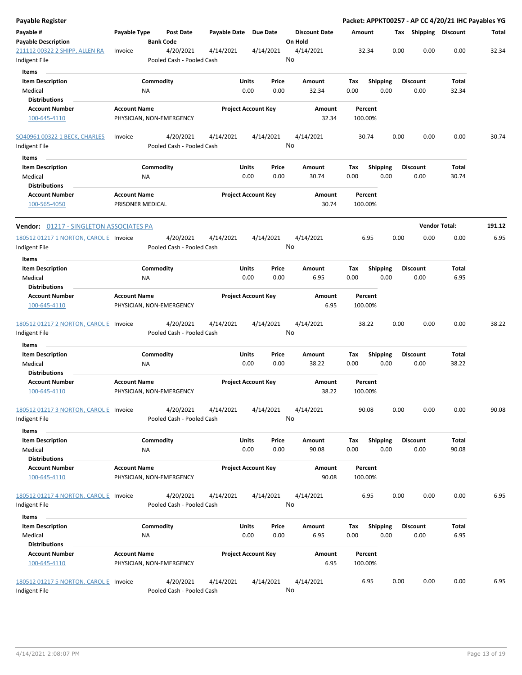| Payable Register                                        |                     |                                        |              |                            |                      |         |                 | Packet: APPKT00257 - AP CC 4/20/21 IHC Payables YG |                      |        |
|---------------------------------------------------------|---------------------|----------------------------------------|--------------|----------------------------|----------------------|---------|-----------------|----------------------------------------------------|----------------------|--------|
| Payable #                                               | Payable Type        | <b>Post Date</b>                       | Payable Date | <b>Due Date</b>            | <b>Discount Date</b> | Amount  |                 | Тах                                                | Shipping Discount    | Total  |
| <b>Payable Description</b>                              |                     | <b>Bank Code</b>                       |              |                            | On Hold              |         |                 |                                                    |                      |        |
| 211112 00322 2 SHIPP, ALLEN RA                          | Invoice             | 4/20/2021                              | 4/14/2021    | 4/14/2021                  | 4/14/2021            | 32.34   | 0.00            | 0.00                                               | 0.00                 | 32.34  |
| Indigent File                                           |                     | Pooled Cash - Pooled Cash              |              |                            | No                   |         |                 |                                                    |                      |        |
| <b>Items</b>                                            |                     |                                        |              |                            |                      |         |                 |                                                    |                      |        |
| <b>Item Description</b>                                 |                     | Commodity                              | Units        | Price                      | Amount               | Tax     | <b>Shipping</b> | <b>Discount</b>                                    | Total                |        |
| Medical                                                 | ΝA                  |                                        |              | 0.00<br>0.00               | 32.34                | 0.00    | 0.00            | 0.00                                               | 32.34                |        |
| <b>Distributions</b>                                    |                     |                                        |              |                            |                      |         |                 |                                                    |                      |        |
| <b>Account Number</b>                                   | <b>Account Name</b> |                                        |              | <b>Project Account Key</b> | Amount               | Percent |                 |                                                    |                      |        |
| 100-645-4110                                            |                     | PHYSICIAN, NON-EMERGENCY               |              |                            | 32.34                | 100.00% |                 |                                                    |                      |        |
| SO40961 00322 1 BECK, CHARLES                           | Invoice             | 4/20/2021                              | 4/14/2021    | 4/14/2021                  | 4/14/2021            | 30.74   | 0.00            | 0.00                                               | 0.00                 | 30.74  |
| Indigent File                                           |                     | Pooled Cash - Pooled Cash              |              |                            | No                   |         |                 |                                                    |                      |        |
| Items                                                   |                     |                                        |              |                            |                      |         |                 |                                                    |                      |        |
| <b>Item Description</b>                                 |                     | Commodity                              | Units        | Price                      | Amount               | Tax     | <b>Shipping</b> | <b>Discount</b>                                    | Total                |        |
| Medical                                                 | <b>NA</b>           |                                        |              | 0.00<br>0.00               | 30.74                | 0.00    | 0.00            | 0.00                                               | 30.74                |        |
| <b>Distributions</b>                                    |                     |                                        |              |                            |                      |         |                 |                                                    |                      |        |
| <b>Account Number</b>                                   | <b>Account Name</b> |                                        |              | <b>Project Account Key</b> | Amount               | Percent |                 |                                                    |                      |        |
| 100-565-4050                                            | PRISONER MEDICAL    |                                        |              |                            | 30.74                | 100.00% |                 |                                                    |                      |        |
| <b>Vendor:</b> 01217 - SINGLETON ASSOCIATES PA          |                     |                                        |              |                            |                      |         |                 |                                                    | <b>Vendor Total:</b> | 191.12 |
| 180512 01217 1 NORTON, CAROL E Invoice                  |                     | 4/20/2021                              | 4/14/2021    | 4/14/2021                  | 4/14/2021            | 6.95    | 0.00            | 0.00                                               | 0.00                 | 6.95   |
| Indigent File                                           |                     | Pooled Cash - Pooled Cash              |              |                            | No                   |         |                 |                                                    |                      |        |
| Items                                                   |                     |                                        |              |                            |                      |         |                 |                                                    |                      |        |
| <b>Item Description</b>                                 |                     | Commodity                              | Units        | Price                      | Amount               | Tax     | <b>Shipping</b> | <b>Discount</b>                                    | Total                |        |
| Medical                                                 | <b>NA</b>           |                                        |              | 0.00<br>0.00               | 6.95                 | 0.00    | 0.00            | 0.00                                               | 6.95                 |        |
| <b>Distributions</b>                                    |                     |                                        |              |                            |                      |         |                 |                                                    |                      |        |
| <b>Account Number</b>                                   | <b>Account Name</b> |                                        |              | <b>Project Account Key</b> | Amount               | Percent |                 |                                                    |                      |        |
| 100-645-4110                                            |                     | PHYSICIAN, NON-EMERGENCY               |              |                            | 6.95                 | 100.00% |                 |                                                    |                      |        |
| 180512 01217 2 NORTON, CAROL E Invoice                  |                     | 4/20/2021                              | 4/14/2021    | 4/14/2021                  | 4/14/2021            | 38.22   | 0.00            | 0.00                                               | 0.00                 | 38.22  |
| Indigent File                                           |                     | Pooled Cash - Pooled Cash              |              |                            | No                   |         |                 |                                                    |                      |        |
| Items                                                   |                     |                                        |              |                            |                      |         |                 |                                                    |                      |        |
| <b>Item Description</b>                                 |                     | Commodity                              | Units        | Price                      | Amount               | Tax     | <b>Shipping</b> | <b>Discount</b>                                    | Total                |        |
| Medical                                                 | <b>NA</b>           |                                        |              | 0.00<br>0.00               | 38.22                | 0.00    | 0.00            | 0.00                                               | 38.22                |        |
| <b>Distributions</b>                                    |                     |                                        |              |                            |                      |         |                 |                                                    |                      |        |
| <b>Account Number</b>                                   | <b>Account Name</b> |                                        |              | <b>Project Account Key</b> | Amount               | Percent |                 |                                                    |                      |        |
| 100-645-4110                                            |                     | PHYSICIAN, NON-EMERGENCY               |              |                            | 38.22                | 100.00% |                 |                                                    |                      |        |
| 180512 01217 3 NORTON, CAROL E Invoice                  |                     | 4/20/2021                              | 4/14/2021    | 4/14/2021                  | 4/14/2021            | 90.08   | 0.00            | 0.00                                               | 0.00                 | 90.08  |
| Indigent File                                           |                     | Pooled Cash - Pooled Cash              |              |                            | No                   |         |                 |                                                    |                      |        |
| Items                                                   |                     |                                        |              |                            |                      |         |                 |                                                    |                      |        |
| <b>Item Description</b>                                 |                     | Commodity                              | Units        | Price                      | Amount               | Tax     | Shipping        | <b>Discount</b>                                    | Total                |        |
| Medical<br><b>Distributions</b>                         | <b>NA</b>           |                                        |              | 0.00<br>0.00               | 90.08                | 0.00    | 0.00            | 0.00                                               | 90.08                |        |
| <b>Account Number</b>                                   | <b>Account Name</b> |                                        |              | <b>Project Account Key</b> | Amount               | Percent |                 |                                                    |                      |        |
| 100-645-4110                                            |                     | PHYSICIAN, NON-EMERGENCY               |              |                            | 90.08                | 100.00% |                 |                                                    |                      |        |
| 180512 01217 4 NORTON, CAROL E Invoice                  |                     | 4/20/2021                              | 4/14/2021    | 4/14/2021                  | 4/14/2021            | 6.95    | 0.00            | 0.00                                               | 0.00                 | 6.95   |
| Indigent File                                           |                     | Pooled Cash - Pooled Cash              |              |                            | No                   |         |                 |                                                    |                      |        |
| Items                                                   |                     |                                        |              |                            |                      |         |                 |                                                    |                      |        |
| <b>Item Description</b>                                 |                     | Commodity                              | Units        | Price                      | Amount               | Tax     | <b>Shipping</b> | <b>Discount</b>                                    | <b>Total</b>         |        |
| Medical                                                 | ΝA                  |                                        |              | 0.00<br>0.00               | 6.95                 | 0.00    | 0.00            | 0.00                                               | 6.95                 |        |
| <b>Distributions</b>                                    |                     |                                        |              |                            |                      |         |                 |                                                    |                      |        |
| <b>Account Number</b>                                   | <b>Account Name</b> |                                        |              | <b>Project Account Key</b> | Amount               | Percent |                 |                                                    |                      |        |
| 100-645-4110                                            |                     | PHYSICIAN, NON-EMERGENCY               |              |                            | 6.95                 | 100.00% |                 |                                                    |                      |        |
| 180512 01217 5 NORTON, CAROL E Invoice<br>Indigent File |                     | 4/20/2021<br>Pooled Cash - Pooled Cash | 4/14/2021    | 4/14/2021                  | 4/14/2021<br>No      | 6.95    | 0.00            | 0.00                                               | 0.00                 | 6.95   |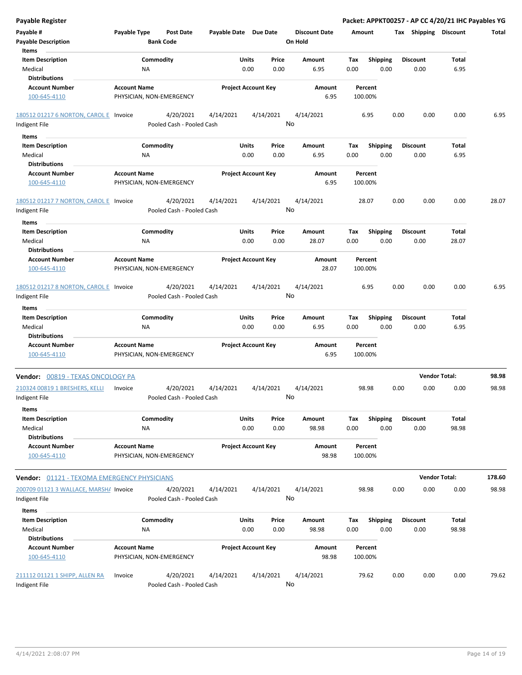| <b>Payable Register</b>                            |                     |                           |                            |       |           |                      |         |                 |      |                       | Packet: APPKT00257 - AP CC 4/20/21 IHC Payables YG |        |
|----------------------------------------------------|---------------------|---------------------------|----------------------------|-------|-----------|----------------------|---------|-----------------|------|-----------------------|----------------------------------------------------|--------|
| Payable #                                          | Payable Type        | <b>Post Date</b>          | Payable Date Due Date      |       |           | <b>Discount Date</b> | Amount  |                 |      | Tax Shipping Discount |                                                    | Total  |
| <b>Payable Description</b>                         |                     | <b>Bank Code</b>          |                            |       |           | On Hold              |         |                 |      |                       |                                                    |        |
| Items                                              |                     |                           |                            |       |           |                      |         |                 |      |                       |                                                    |        |
| <b>Item Description</b>                            |                     | Commodity                 |                            | Units | Price     | Amount               | Tax     | Shipping        |      | <b>Discount</b>       | Total                                              |        |
| Medical                                            | NA                  |                           |                            | 0.00  | 0.00      | 6.95                 | 0.00    | 0.00            |      | 0.00                  | 6.95                                               |        |
| <b>Distributions</b>                               |                     |                           |                            |       |           |                      |         |                 |      |                       |                                                    |        |
| <b>Account Number</b>                              | <b>Account Name</b> |                           | <b>Project Account Key</b> |       |           | Amount               |         | Percent         |      |                       |                                                    |        |
| 100-645-4110                                       |                     | PHYSICIAN, NON-EMERGENCY  |                            |       |           | 6.95                 | 100.00% |                 |      |                       |                                                    |        |
|                                                    |                     |                           |                            |       |           |                      |         |                 |      |                       |                                                    |        |
| 180512 01217 6 NORTON, CAROL E Invoice             |                     | 4/20/2021                 | 4/14/2021                  |       | 4/14/2021 | 4/14/2021            |         | 6.95            | 0.00 | 0.00                  | 0.00                                               | 6.95   |
| Indigent File                                      |                     | Pooled Cash - Pooled Cash |                            |       |           | No                   |         |                 |      |                       |                                                    |        |
| Items                                              |                     |                           |                            |       |           |                      |         |                 |      |                       |                                                    |        |
|                                                    |                     |                           |                            |       |           |                      |         |                 |      |                       |                                                    |        |
| <b>Item Description</b>                            |                     | Commodity                 |                            | Units | Price     | Amount               | Tax     | <b>Shipping</b> |      | <b>Discount</b>       | Total                                              |        |
| Medical                                            | ΝA                  |                           |                            | 0.00  | 0.00      | 6.95                 | 0.00    | 0.00            |      | 0.00                  | 6.95                                               |        |
| <b>Distributions</b>                               |                     |                           |                            |       |           |                      |         |                 |      |                       |                                                    |        |
| <b>Account Number</b>                              | <b>Account Name</b> |                           | <b>Project Account Key</b> |       |           | Amount               |         | Percent         |      |                       |                                                    |        |
| 100-645-4110                                       |                     | PHYSICIAN, NON-EMERGENCY  |                            |       |           | 6.95                 | 100.00% |                 |      |                       |                                                    |        |
|                                                    |                     |                           |                            |       |           |                      |         |                 |      |                       |                                                    |        |
| 180512 01217 7 NORTON, CAROL E Invoice             |                     | 4/20/2021                 | 4/14/2021                  |       | 4/14/2021 | 4/14/2021            |         | 28.07           | 0.00 | 0.00                  | 0.00                                               | 28.07  |
| Indigent File                                      |                     | Pooled Cash - Pooled Cash |                            |       |           | No                   |         |                 |      |                       |                                                    |        |
| Items                                              |                     |                           |                            |       |           |                      |         |                 |      |                       |                                                    |        |
| <b>Item Description</b>                            |                     | Commodity                 |                            | Units | Price     | Amount               | Tax     | <b>Shipping</b> |      | <b>Discount</b>       | Total                                              |        |
| Medical                                            | ΝA                  |                           |                            | 0.00  | 0.00      | 28.07                | 0.00    | 0.00            |      | 0.00                  | 28.07                                              |        |
| <b>Distributions</b>                               |                     |                           |                            |       |           |                      |         |                 |      |                       |                                                    |        |
| <b>Account Number</b>                              | <b>Account Name</b> |                           | <b>Project Account Key</b> |       |           | Amount               |         | Percent         |      |                       |                                                    |        |
| 100-645-4110                                       |                     | PHYSICIAN, NON-EMERGENCY  |                            |       |           | 28.07                | 100.00% |                 |      |                       |                                                    |        |
|                                                    |                     |                           |                            |       |           |                      |         |                 |      |                       |                                                    |        |
| 180512 01217 8 NORTON, CAROL E Invoice             |                     | 4/20/2021                 | 4/14/2021                  |       | 4/14/2021 | 4/14/2021            |         | 6.95            | 0.00 | 0.00                  | 0.00                                               | 6.95   |
|                                                    |                     | Pooled Cash - Pooled Cash |                            |       |           | No                   |         |                 |      |                       |                                                    |        |
| Indigent File                                      |                     |                           |                            |       |           |                      |         |                 |      |                       |                                                    |        |
| Items                                              |                     |                           |                            |       |           |                      |         |                 |      |                       |                                                    |        |
| <b>Item Description</b>                            |                     | Commodity                 |                            | Units | Price     | Amount               | Tax     | <b>Shipping</b> |      | <b>Discount</b>       | Total                                              |        |
| Medical                                            | NA                  |                           |                            | 0.00  | 0.00      | 6.95                 | 0.00    | 0.00            |      | 0.00                  | 6.95                                               |        |
| <b>Distributions</b>                               |                     |                           |                            |       |           |                      |         |                 |      |                       |                                                    |        |
| <b>Account Number</b>                              | <b>Account Name</b> |                           | <b>Project Account Key</b> |       |           | <b>Amount</b>        |         | Percent         |      |                       |                                                    |        |
| 100-645-4110                                       |                     | PHYSICIAN, NON-EMERGENCY  |                            |       |           | 6.95                 | 100.00% |                 |      |                       |                                                    |        |
|                                                    |                     |                           |                            |       |           |                      |         |                 |      |                       |                                                    |        |
| Vendor: 00819 - TEXAS ONCOLOGY PA                  |                     |                           |                            |       |           |                      |         |                 |      |                       | <b>Vendor Total:</b>                               | 98.98  |
| 210324 00819 1 BRESHERS, KELLI                     | Invoice             | 4/20/2021                 | 4/14/2021                  |       | 4/14/2021 | 4/14/2021            |         | 98.98           | 0.00 | 0.00                  | 0.00                                               | 98.98  |
| Indigent File                                      |                     | Pooled Cash - Pooled Cash |                            |       |           | No                   |         |                 |      |                       |                                                    |        |
|                                                    |                     |                           |                            |       |           |                      |         |                 |      |                       |                                                    |        |
| Items                                              |                     |                           |                            |       |           |                      |         |                 |      |                       |                                                    |        |
| <b>Item Description</b>                            |                     | Commodity                 |                            | Units | Price     | Amount               | Tax     | <b>Shipping</b> |      | <b>Discount</b>       | Total                                              |        |
| Medical                                            | ΝA                  |                           |                            | 0.00  | 0.00      | 98.98                | 0.00    | 0.00            |      | 0.00                  | 98.98                                              |        |
| <b>Distributions</b>                               |                     |                           |                            |       |           |                      |         |                 |      |                       |                                                    |        |
| Account Number                                     | <b>Account Name</b> |                           | <b>Project Account Key</b> |       |           | Amount               |         | Percent         |      |                       |                                                    |        |
| 100-645-4110                                       |                     | PHYSICIAN, NON-EMERGENCY  |                            |       |           | 98.98                | 100.00% |                 |      |                       |                                                    |        |
|                                                    |                     |                           |                            |       |           |                      |         |                 |      |                       |                                                    |        |
| <b>Vendor:</b> 01121 - TEXOMA EMERGENCY PHYSICIANS |                     |                           |                            |       |           |                      |         |                 |      |                       | <b>Vendor Total:</b>                               | 178.60 |
| 200709 01121 3 WALLACE, MARSH/ Invoice             |                     | 4/20/2021                 | 4/14/2021                  |       | 4/14/2021 | 4/14/2021            |         | 98.98           | 0.00 | 0.00                  | 0.00                                               | 98.98  |
| Indigent File                                      |                     | Pooled Cash - Pooled Cash |                            |       |           | No                   |         |                 |      |                       |                                                    |        |
|                                                    |                     |                           |                            |       |           |                      |         |                 |      |                       |                                                    |        |
| Items                                              |                     |                           |                            |       |           |                      |         |                 |      |                       |                                                    |        |
| <b>Item Description</b>                            |                     | Commodity                 |                            | Units | Price     | Amount               | Tax     | <b>Shipping</b> |      | <b>Discount</b>       | Total                                              |        |
| Medical                                            | NA                  |                           |                            | 0.00  | 0.00      | 98.98                | 0.00    | 0.00            |      | 0.00                  | 98.98                                              |        |
| <b>Distributions</b>                               |                     |                           |                            |       |           |                      |         |                 |      |                       |                                                    |        |
| Account Number                                     | <b>Account Name</b> |                           | <b>Project Account Key</b> |       |           | Amount               |         | Percent         |      |                       |                                                    |        |
| 100-645-4110                                       |                     | PHYSICIAN, NON-EMERGENCY  |                            |       |           | 98.98                | 100.00% |                 |      |                       |                                                    |        |
|                                                    |                     |                           |                            |       |           |                      |         |                 |      |                       |                                                    |        |
| 211112 01121 1 SHIPP, ALLEN RA                     | Invoice             | 4/20/2021                 | 4/14/2021                  |       | 4/14/2021 | 4/14/2021            |         | 79.62           | 0.00 | 0.00                  | 0.00                                               | 79.62  |
| Indigent File                                      |                     | Pooled Cash - Pooled Cash |                            |       |           | No                   |         |                 |      |                       |                                                    |        |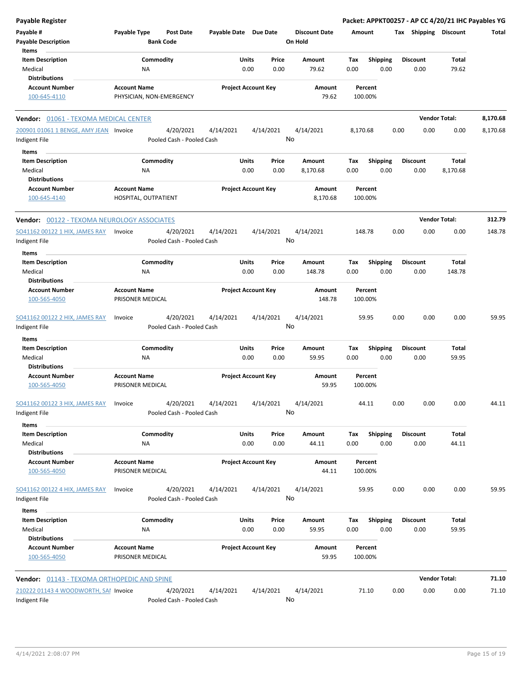| <b>Payable Register</b>                            |                                                      |                       |                                |                                 | Packet: APPKT00257 - AP CC 4/20/21 IHC Payables YG |                         |                      |          |
|----------------------------------------------------|------------------------------------------------------|-----------------------|--------------------------------|---------------------------------|----------------------------------------------------|-------------------------|----------------------|----------|
| Payable #<br><b>Payable Description</b>            | Payable Type<br><b>Post Date</b><br><b>Bank Code</b> | Payable Date Due Date |                                | <b>Discount Date</b><br>On Hold | Amount                                             | Tax Shipping Discount   |                      | Total    |
| Items<br><b>Item Description</b>                   | Commodity                                            |                       | Units<br>Price                 | Amount                          | Tax<br><b>Shipping</b>                             | <b>Discount</b>         | Total                |          |
| Medical                                            | NA                                                   |                       | 0.00<br>0.00                   | 79.62                           | 0.00<br>0.00                                       | 0.00                    | 79.62                |          |
| <b>Distributions</b>                               |                                                      |                       |                                |                                 |                                                    |                         |                      |          |
| <b>Account Number</b>                              | <b>Account Name</b>                                  |                       | <b>Project Account Key</b>     | Amount                          | Percent                                            |                         |                      |          |
| 100-645-4110                                       | PHYSICIAN, NON-EMERGENCY                             |                       |                                | 79.62                           | 100.00%                                            |                         |                      |          |
| Vendor: 01061 - TEXOMA MEDICAL CENTER              |                                                      |                       |                                |                                 |                                                    |                         | <b>Vendor Total:</b> | 8,170.68 |
| 200901 01061 1 BENGE, AMY JEAN Invoice             | 4/20/2021                                            | 4/14/2021             | 4/14/2021                      | 4/14/2021                       | 8,170.68                                           | 0.00<br>0.00            | 0.00                 | 8,170.68 |
| Indigent File                                      | Pooled Cash - Pooled Cash                            |                       |                                | No                              |                                                    |                         |                      |          |
| Items                                              |                                                      |                       |                                |                                 |                                                    |                         |                      |          |
| <b>Item Description</b><br>Medical                 | Commodity<br>NA                                      |                       | Units<br>Price<br>0.00<br>0.00 | Amount<br>8,170.68              | <b>Shipping</b><br>Tax<br>0.00<br>0.00             | <b>Discount</b><br>0.00 | Total<br>8,170.68    |          |
| <b>Distributions</b>                               |                                                      |                       |                                |                                 |                                                    |                         |                      |          |
| <b>Account Number</b>                              | <b>Account Name</b>                                  |                       | <b>Project Account Key</b>     | Amount                          | Percent                                            |                         |                      |          |
| 100-645-4140                                       | HOSPITAL, OUTPATIENT                                 |                       |                                | 8,170.68                        | 100.00%                                            |                         |                      |          |
| <b>Vendor: 00122 - TEXOMA NEUROLOGY ASSOCIATES</b> |                                                      |                       |                                |                                 |                                                    |                         | <b>Vendor Total:</b> | 312.79   |
| SO41162 00122 1 HIX, JAMES RAY                     | 4/20/2021<br>Invoice                                 | 4/14/2021             | 4/14/2021                      | 4/14/2021                       | 148.78                                             | 0.00<br>0.00            | 0.00                 | 148.78   |
| Indigent File                                      | Pooled Cash - Pooled Cash                            |                       |                                | No                              |                                                    |                         |                      |          |
| Items                                              |                                                      |                       |                                |                                 |                                                    |                         |                      |          |
| <b>Item Description</b>                            | Commodity                                            |                       | Units<br>Price                 | Amount                          | Tax<br><b>Shipping</b>                             | <b>Discount</b>         | Total                |          |
| Medical<br><b>Distributions</b>                    | NA                                                   |                       | 0.00<br>0.00                   | 148.78                          | 0.00<br>0.00                                       | 0.00                    | 148.78               |          |
| <b>Account Number</b>                              | <b>Account Name</b>                                  |                       | <b>Project Account Key</b>     | Amount                          | Percent                                            |                         |                      |          |
| 100-565-4050                                       | PRISONER MEDICAL                                     |                       |                                | 148.78                          | 100.00%                                            |                         |                      |          |
| SO41162 00122 2 HIX, JAMES RAY<br>Indigent File    | 4/20/2021<br>Invoice<br>Pooled Cash - Pooled Cash    | 4/14/2021             | 4/14/2021                      | 4/14/2021<br>No                 | 59.95                                              | 0.00<br>0.00            | 0.00                 | 59.95    |
| Items                                              |                                                      |                       |                                |                                 |                                                    |                         |                      |          |
| <b>Item Description</b><br>Medical                 | Commodity<br>NA                                      |                       | Units<br>Price<br>0.00<br>0.00 | Amount<br>59.95                 | Tax<br><b>Shipping</b><br>0.00<br>0.00             | <b>Discount</b><br>0.00 | Total<br>59.95       |          |
| <b>Distributions</b><br><b>Account Number</b>      | <b>Account Name</b>                                  |                       | <b>Project Account Key</b>     |                                 | Percent                                            |                         |                      |          |
| 100-565-4050                                       | PRISONER MEDICAL                                     |                       |                                | Amount<br>59.95                 | 100.00%                                            |                         |                      |          |
| SO41162 00122 3 HIX, JAMES RAY                     | 4/20/2021<br>Invoice                                 | 4/14/2021             | 4/14/2021                      | 4/14/2021                       | 44.11                                              | 0.00<br>0.00            | 0.00                 | 44.11    |
| Indigent File                                      | Pooled Cash - Pooled Cash                            |                       |                                | No                              |                                                    |                         |                      |          |
| Items                                              |                                                      |                       |                                |                                 |                                                    |                         |                      |          |
| <b>Item Description</b>                            | Commodity                                            |                       | Units<br>Price                 | Amount                          | <b>Shipping</b><br>Tax                             | <b>Discount</b>         | Total                |          |
| Medical<br><b>Distributions</b>                    | NA                                                   |                       | 0.00<br>0.00                   | 44.11                           | 0.00<br>0.00                                       | 0.00                    | 44.11                |          |
| <b>Account Number</b>                              | <b>Account Name</b>                                  |                       | <b>Project Account Key</b>     | Amount                          | Percent                                            |                         |                      |          |
| 100-565-4050                                       | PRISONER MEDICAL                                     |                       |                                | 44.11                           | 100.00%                                            |                         |                      |          |
| SO41162 00122 4 HIX, JAMES RAY                     | 4/20/2021<br>Invoice                                 | 4/14/2021             | 4/14/2021                      | 4/14/2021                       | 59.95                                              | 0.00<br>0.00            | 0.00                 | 59.95    |
| Indigent File                                      | Pooled Cash - Pooled Cash                            |                       |                                | No                              |                                                    |                         |                      |          |
| Items                                              |                                                      |                       |                                |                                 |                                                    |                         |                      |          |
| <b>Item Description</b><br>Medical                 | Commodity<br>NA                                      |                       | Units<br>Price<br>0.00<br>0.00 | Amount<br>59.95                 | Tax<br><b>Shipping</b><br>0.00<br>0.00             | <b>Discount</b><br>0.00 | Total<br>59.95       |          |
| <b>Distributions</b>                               |                                                      |                       |                                |                                 |                                                    |                         |                      |          |
| <b>Account Number</b><br>100-565-4050              | <b>Account Name</b><br>PRISONER MEDICAL              |                       | <b>Project Account Key</b>     | Amount<br>59.95                 | Percent<br>100.00%                                 |                         |                      |          |
| <b>Vendor: 01143 - TEXOMA ORTHOPEDIC AND SPINE</b> |                                                      |                       |                                |                                 |                                                    |                         | <b>Vendor Total:</b> | 71.10    |
| 210222 01143 4 WOODWORTH, SAI Invoice              | 4/20/2021                                            | 4/14/2021             | 4/14/2021                      | 4/14/2021                       | 71.10                                              | 0.00<br>0.00            | 0.00                 | 71.10    |
| Indigent File                                      | Pooled Cash - Pooled Cash                            |                       |                                | No                              |                                                    |                         |                      |          |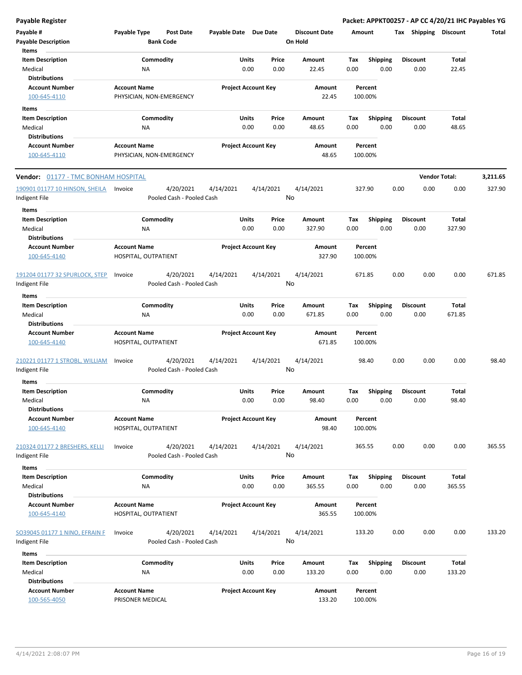| <b>Payable Register</b>                         |                                                      |                            |                 |                                 |                    |                         | Packet: APPKT00257 - AP CC 4/20/21 IHC Payables YG |                 |          |
|-------------------------------------------------|------------------------------------------------------|----------------------------|-----------------|---------------------------------|--------------------|-------------------------|----------------------------------------------------|-----------------|----------|
| Payable #<br><b>Payable Description</b>         | Payable Type<br><b>Post Date</b><br><b>Bank Code</b> | Payable Date Due Date      |                 | <b>Discount Date</b><br>On Hold | Amount             |                         | Tax Shipping Discount                              |                 | Total    |
| Items                                           |                                                      |                            |                 |                                 |                    |                         |                                                    |                 |          |
| <b>Item Description</b>                         | Commodity                                            | Units                      | Price           | Amount                          | Tax                | <b>Shipping</b>         | <b>Discount</b>                                    | Total           |          |
| Medical                                         | <b>NA</b>                                            | 0.00                       | 0.00            | 22.45                           | 0.00               | 0.00                    | 0.00                                               | 22.45           |          |
| <b>Distributions</b>                            |                                                      |                            |                 |                                 |                    |                         |                                                    |                 |          |
| <b>Account Number</b><br>100-645-4110           | <b>Account Name</b><br>PHYSICIAN, NON-EMERGENCY      | <b>Project Account Key</b> |                 | Amount<br>22.45                 | Percent<br>100.00% |                         |                                                    |                 |          |
| Items                                           |                                                      |                            |                 |                                 |                    |                         |                                                    |                 |          |
| <b>Item Description</b>                         | Commodity                                            | Units                      | Price           | Amount                          | Tax                | Shipping                | <b>Discount</b>                                    | <b>Total</b>    |          |
| Medical                                         | <b>NA</b>                                            | 0.00                       | 0.00            | 48.65                           | 0.00               | 0.00                    | 0.00                                               | 48.65           |          |
| <b>Distributions</b>                            |                                                      |                            |                 |                                 |                    |                         |                                                    |                 |          |
| <b>Account Number</b>                           | <b>Account Name</b>                                  | <b>Project Account Key</b> |                 | Amount                          | Percent            |                         |                                                    |                 |          |
| 100-645-4110                                    | PHYSICIAN, NON-EMERGENCY                             |                            |                 | 48.65                           | 100.00%            |                         |                                                    |                 |          |
| Vendor: 01177 - TMC BONHAM HOSPITAL             |                                                      |                            |                 |                                 |                    |                         | <b>Vendor Total:</b>                               |                 | 3,211.65 |
| 190901 01177 10 HINSON, SHEILA                  | 4/20/2021<br>Invoice                                 | 4/14/2021                  | 4/14/2021       | 4/14/2021                       | 327.90             |                         | 0.00<br>0.00                                       | 0.00            | 327.90   |
| Indigent File<br>Items                          | Pooled Cash - Pooled Cash                            |                            | No              |                                 |                    |                         |                                                    |                 |          |
| <b>Item Description</b>                         | Commodity                                            | Units                      | Price           | Amount                          | Tax                | <b>Shipping</b>         | <b>Discount</b>                                    | <b>Total</b>    |          |
| Medical                                         | <b>NA</b>                                            | 0.00                       | 0.00            | 327.90                          | 0.00               | 0.00                    | 0.00                                               | 327.90          |          |
| <b>Distributions</b>                            |                                                      |                            |                 |                                 |                    |                         |                                                    |                 |          |
| <b>Account Number</b>                           | <b>Account Name</b>                                  | <b>Project Account Key</b> |                 | Amount                          | Percent            |                         |                                                    |                 |          |
| 100-645-4140                                    | HOSPITAL, OUTPATIENT                                 |                            |                 | 327.90                          | 100.00%            |                         |                                                    |                 |          |
| 191204 01177 32 SPURLOCK, STEP<br>Indigent File | 4/20/2021<br>Invoice<br>Pooled Cash - Pooled Cash    | 4/14/2021                  | 4/14/2021<br>No | 4/14/2021                       | 671.85             |                         | 0.00<br>0.00                                       | 0.00            | 671.85   |
| Items                                           |                                                      |                            |                 |                                 |                    |                         |                                                    |                 |          |
|                                                 |                                                      | Units                      |                 |                                 |                    |                         |                                                    |                 |          |
| <b>Item Description</b><br>Medical              | Commodity<br><b>NA</b>                               | 0.00                       | Price<br>0.00   | Amount<br>671.85                | Tax<br>0.00        | <b>Shipping</b><br>0.00 | <b>Discount</b><br>0.00                            | Total<br>671.85 |          |
| <b>Distributions</b>                            |                                                      |                            |                 |                                 |                    |                         |                                                    |                 |          |
| <b>Account Number</b><br>100-645-4140           | <b>Account Name</b><br>HOSPITAL, OUTPATIENT          | <b>Project Account Key</b> |                 | Amount<br>671.85                | Percent<br>100.00% |                         |                                                    |                 |          |
| 210221 01177 1 STROBL, WILLIAM                  | 4/20/2021<br>Invoice                                 | 4/14/2021                  | 4/14/2021<br>No | 4/14/2021                       | 98.40              |                         | 0.00<br>0.00                                       | 0.00            | 98.40    |
| Indigent File                                   | Pooled Cash - Pooled Cash                            |                            |                 |                                 |                    |                         |                                                    |                 |          |
| ltems                                           |                                                      |                            |                 |                                 |                    |                         |                                                    |                 |          |
| <b>Item Description</b>                         | Commodity                                            | Units                      | Price           | Amount                          | Тах                | <b>Shipping</b>         | <b>Discount</b>                                    | Total           |          |
| Medical                                         | ΝA                                                   | 0.00                       | 0.00            | 98.40                           | 0.00               | 0.00                    | 0.00                                               | 98.40           |          |
| <b>Distributions</b>                            |                                                      |                            |                 |                                 |                    |                         |                                                    |                 |          |
| <b>Account Number</b><br>100-645-4140           | <b>Account Name</b><br>HOSPITAL, OUTPATIENT          | <b>Project Account Key</b> |                 | Amount<br>98.40                 | Percent<br>100.00% |                         |                                                    |                 |          |
| 210324 01177 2 BRESHERS, KELLI                  | 4/20/2021<br>Invoice                                 | 4/14/2021                  | 4/14/2021       | 4/14/2021                       | 365.55             |                         | 0.00<br>0.00                                       | 0.00            | 365.55   |
| Indigent File                                   | Pooled Cash - Pooled Cash                            |                            | No              |                                 |                    |                         |                                                    |                 |          |
| <b>Items</b>                                    |                                                      |                            |                 |                                 |                    |                         |                                                    |                 |          |
| <b>Item Description</b>                         | Commodity                                            | Units                      | Price           | Amount                          | Tax                | Shipping                | <b>Discount</b>                                    | Total           |          |
| Medical                                         | <b>NA</b>                                            | 0.00                       | 0.00            | 365.55                          | 0.00               | 0.00                    | 0.00                                               | 365.55          |          |
| <b>Distributions</b>                            |                                                      |                            |                 |                                 |                    |                         |                                                    |                 |          |
| <b>Account Number</b>                           | <b>Account Name</b>                                  | <b>Project Account Key</b> |                 | Amount                          | Percent            |                         |                                                    |                 |          |
| 100-645-4140                                    | HOSPITAL, OUTPATIENT                                 |                            |                 | 365.55                          | 100.00%            |                         |                                                    |                 |          |
| SO39045 01177 1 NINO, EFRAIN F                  | 4/20/2021<br>Invoice                                 | 4/14/2021                  | 4/14/2021       | 4/14/2021                       | 133.20             |                         | 0.00<br>0.00                                       | 0.00            | 133.20   |
| Indigent File                                   | Pooled Cash - Pooled Cash                            |                            | No              |                                 |                    |                         |                                                    |                 |          |
| Items                                           |                                                      |                            |                 |                                 |                    |                         |                                                    |                 |          |
| <b>Item Description</b>                         | Commodity                                            | Units                      | Price           | Amount                          | Tax                | <b>Shipping</b>         | <b>Discount</b>                                    | Total           |          |
| Medical                                         | <b>NA</b>                                            | 0.00                       | 0.00            | 133.20                          | 0.00               | 0.00                    | 0.00                                               | 133.20          |          |
| <b>Distributions</b>                            |                                                      |                            |                 |                                 |                    |                         |                                                    |                 |          |
| <b>Account Number</b>                           | <b>Account Name</b>                                  | <b>Project Account Key</b> |                 | Amount                          | Percent            |                         |                                                    |                 |          |
| 100-565-4050                                    | PRISONER MEDICAL                                     |                            |                 | 133.20                          | 100.00%            |                         |                                                    |                 |          |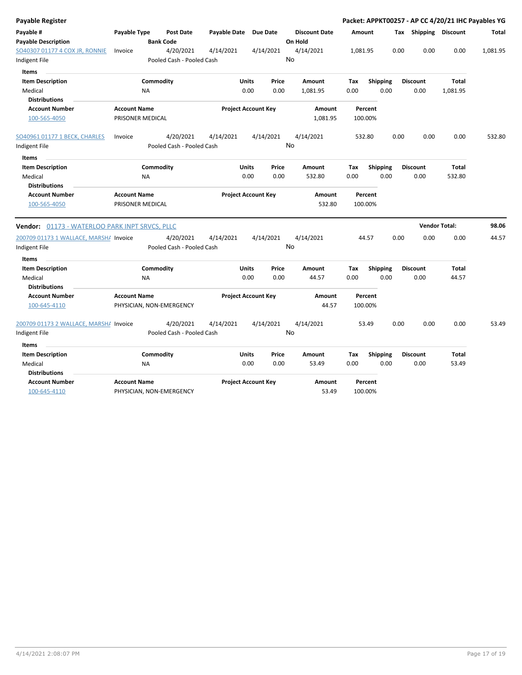| <b>Payable Register</b>                        |                                         |                                      |                            |               |                 |                                 |             |                         |      |                         | Packet: APPKT00257 - AP CC 4/20/21 IHC Payables YG |          |
|------------------------------------------------|-----------------------------------------|--------------------------------------|----------------------------|---------------|-----------------|---------------------------------|-------------|-------------------------|------|-------------------------|----------------------------------------------------|----------|
| Payable #<br><b>Payable Description</b>        | Payable Type                            | <b>Post Date</b><br><b>Bank Code</b> | Payable Date               |               | <b>Due Date</b> | <b>Discount Date</b><br>On Hold | Amount      |                         |      | Tax Shipping Discount   |                                                    | Total    |
| SO40307 01177 4 COX JR, RONNIE                 | Invoice                                 | 4/20/2021                            | 4/14/2021                  |               | 4/14/2021       | 4/14/2021<br>No                 | 1,081.95    |                         | 0.00 | 0.00                    | 0.00                                               | 1,081.95 |
| Indigent File                                  |                                         | Pooled Cash - Pooled Cash            |                            |               |                 |                                 |             |                         |      |                         |                                                    |          |
| Items                                          |                                         |                                      |                            |               |                 |                                 |             |                         |      |                         |                                                    |          |
| <b>Item Description</b><br>Medical             | <b>NA</b>                               | Commodity                            |                            | Units<br>0.00 | Price<br>0.00   | Amount<br>1,081.95              | Tax<br>0.00 | <b>Shipping</b><br>0.00 |      | <b>Discount</b><br>0.00 | Total<br>1,081.95                                  |          |
| <b>Distributions</b>                           |                                         |                                      |                            |               |                 |                                 |             |                         |      |                         |                                                    |          |
| <b>Account Number</b>                          | <b>Account Name</b>                     |                                      | <b>Project Account Key</b> |               |                 | Amount                          |             | Percent                 |      |                         |                                                    |          |
| 100-565-4050                                   | PRISONER MEDICAL                        |                                      |                            |               |                 | 1,081.95                        |             | 100.00%                 |      |                         |                                                    |          |
| SO40961 01177 1 BECK, CHARLES                  | Invoice                                 | 4/20/2021                            | 4/14/2021                  |               | 4/14/2021       | 4/14/2021                       |             | 532.80                  | 0.00 | 0.00                    | 0.00                                               | 532.80   |
| Indigent File                                  |                                         | Pooled Cash - Pooled Cash            |                            |               |                 | No                              |             |                         |      |                         |                                                    |          |
| <b>Items</b>                                   |                                         |                                      |                            |               |                 |                                 |             |                         |      |                         |                                                    |          |
| <b>Item Description</b>                        |                                         | Commodity                            |                            | Units         | Price           | Amount                          | Tax         | <b>Shipping</b>         |      | <b>Discount</b>         | <b>Total</b>                                       |          |
| Medical                                        | <b>NA</b>                               |                                      |                            | 0.00          | 0.00            | 532.80                          | 0.00        | 0.00                    |      | 0.00                    | 532.80                                             |          |
| <b>Distributions</b>                           |                                         |                                      |                            |               |                 |                                 |             |                         |      |                         |                                                    |          |
| <b>Account Number</b><br>100-565-4050          | <b>Account Name</b><br>PRISONER MEDICAL |                                      | <b>Project Account Key</b> |               |                 | Amount<br>532.80                |             | Percent<br>100.00%      |      |                         |                                                    |          |
|                                                |                                         |                                      |                            |               |                 |                                 |             |                         |      |                         |                                                    |          |
| Vendor: 01173 - WATERLOO PARK INPT SRVCS, PLLC |                                         |                                      |                            |               |                 |                                 |             |                         |      |                         | <b>Vendor Total:</b>                               | 98.06    |
| 200709 01173 1 WALLACE, MARSH/ Invoice         |                                         | 4/20/2021                            | 4/14/2021                  |               | 4/14/2021       | 4/14/2021                       |             | 44.57                   | 0.00 | 0.00                    | 0.00                                               | 44.57    |
| Indigent File                                  |                                         | Pooled Cash - Pooled Cash            |                            |               |                 | No                              |             |                         |      |                         |                                                    |          |
| <b>Items</b>                                   |                                         |                                      |                            |               |                 |                                 |             |                         |      |                         |                                                    |          |
| <b>Item Description</b>                        |                                         | Commodity                            |                            | Units         | Price           | Amount                          | Tax         | <b>Shipping</b>         |      | <b>Discount</b>         | Total                                              |          |
| Medical                                        | <b>NA</b>                               |                                      |                            | 0.00          | 0.00            | 44.57                           | 0.00        | 0.00                    |      | 0.00                    | 44.57                                              |          |
| <b>Distributions</b>                           |                                         |                                      |                            |               |                 |                                 |             |                         |      |                         |                                                    |          |
| <b>Account Number</b><br>100-645-4110          | <b>Account Name</b>                     | PHYSICIAN, NON-EMERGENCY             | <b>Project Account Key</b> |               |                 | Amount<br>44.57                 |             | Percent<br>100.00%      |      |                         |                                                    |          |
| 200709 01173 2 WALLACE, MARSHA Invoice         |                                         | 4/20/2021                            | 4/14/2021                  |               | 4/14/2021       | 4/14/2021                       |             | 53.49                   | 0.00 | 0.00                    | 0.00                                               | 53.49    |
| Indigent File                                  |                                         | Pooled Cash - Pooled Cash            |                            |               |                 | No                              |             |                         |      |                         |                                                    |          |
| Items                                          |                                         |                                      |                            |               |                 |                                 |             |                         |      |                         |                                                    |          |
| <b>Item Description</b>                        |                                         | Commodity                            |                            | Units         | Price           | Amount                          | Tax         | <b>Shipping</b>         |      | <b>Discount</b>         | <b>Total</b>                                       |          |
| Medical<br><b>Distributions</b>                | <b>NA</b>                               |                                      |                            | 0.00          | 0.00            | 53.49                           | 0.00        | 0.00                    |      | 0.00                    | 53.49                                              |          |
| <b>Account Number</b>                          | <b>Account Name</b>                     |                                      | <b>Project Account Key</b> |               |                 | Amount                          |             | Percent                 |      |                         |                                                    |          |
| 100-645-4110                                   |                                         | PHYSICIAN, NON-EMERGENCY             |                            |               |                 | 53.49                           |             | 100.00%                 |      |                         |                                                    |          |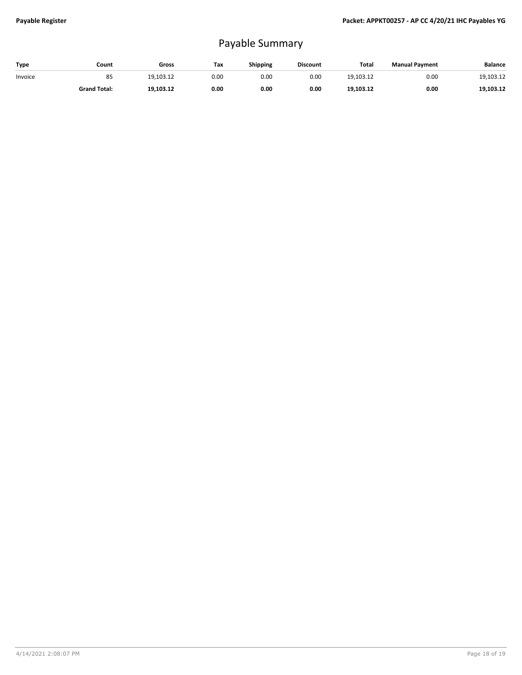## Payable Summary

| Type    | Count               | Gross     | Tax  | Shipping | <b>Discount</b> | Total     | <b>Manual Payment</b> | Balance   |
|---------|---------------------|-----------|------|----------|-----------------|-----------|-----------------------|-----------|
| Invoice | 85                  | 19.103.12 | 0.00 | 0.00     | 0.00            | 19.103.12 | 0.00                  | 19,103.12 |
|         | <b>Grand Total:</b> | 19,103.12 | 0.00 | 0.00     | 0.00            | 19,103.12 | 0.00                  | 19,103.12 |